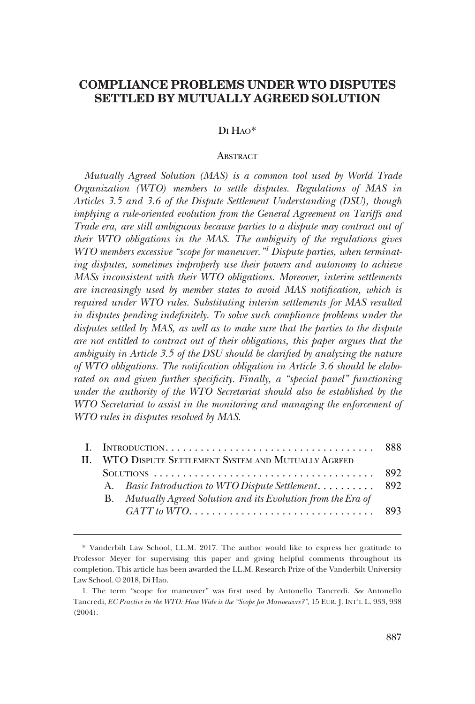# **COMPLIANCE PROBLEMS UNDER WTO DISPUTES SETTLED BY MUTUALLY AGREED SOLUTION**

# DI HAO\*

# **ABSTRACT**

*Mutually Agreed Solution (MAS) is a common tool used by World Trade Organization (WTO) members to settle disputes. Regulations of MAS in Articles 3.5 and 3.6 of the Dispute Settlement Understanding (DSU), though implying a rule-oriented evolution from the General Agreement on Tariffs and Trade era, are still ambiguous because parties to a dispute may contract out of their WTO obligations in the MAS. The ambiguity of the regulations gives WTO members excessive "scope for maneuver."1 Dispute parties, when terminating disputes, sometimes improperly use their powers and autonomy to achieve MASs inconsistent with their WTO obligations. Moreover, interim settlements are increasingly used by member states to avoid MAS notification, which is required under WTO rules. Substituting interim settlements for MAS resulted in disputes pending indefinitely. To solve such compliance problems under the disputes settled by MAS, as well as to make sure that the parties to the dispute are not entitled to contract out of their obligations, this paper argues that the ambiguity in Article 3.5 of the DSU should be clarified by analyzing the nature of WTO obligations. The notification obligation in Article 3.6 should be elaborated on and given further specificity. Finally, a "special panel" functioning under the authority of the WTO Secretariat should also be established by the WTO Secretariat to assist in the monitoring and managing the enforcement of WTO rules in disputes resolved by MAS.* 

|  | II. WTO DISPUTE SETTLEMENT SYSTEM AND MUTUALLY AGREED         |  |
|--|---------------------------------------------------------------|--|
|  |                                                               |  |
|  | A. Basic Introduction to WTO Dispute Settlement 892           |  |
|  | B. Mutually Agreed Solution and its Evolution from the Era of |  |
|  |                                                               |  |

<sup>\*</sup> Vanderbilt Law School, LL.M. 2017. The author would like to express her gratitude to Professor Meyer for supervising this paper and giving helpful comments throughout its completion. This article has been awarded the LL.M. Research Prize of the Vanderbilt University Law School. © 2018, Di Hao.

<sup>1.</sup> The term "scope for maneuver" was first used by Antonello Tancredi. *See* Antonello Tancredi, *EC Practice in the WTO: How Wide is the "Scope for Manoeuvre?"*, 15 EUR. J. INT'L L. 933, 938 (2004).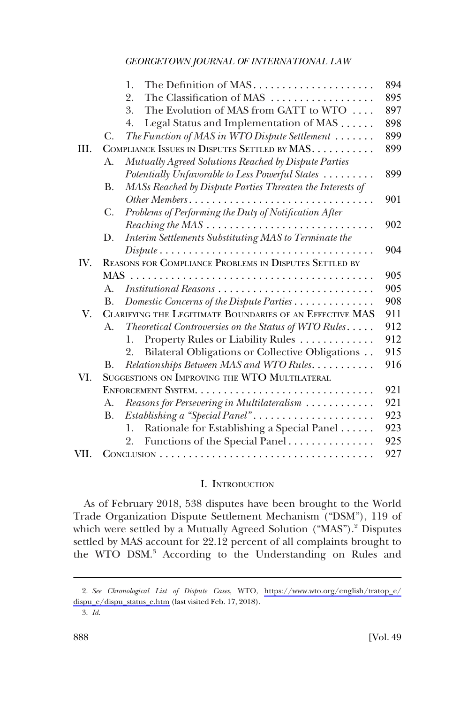<span id="page-1-0"></span>

|      |                                                          | The Definition of MAS<br>1.                                                                                       | 894 |
|------|----------------------------------------------------------|-------------------------------------------------------------------------------------------------------------------|-----|
|      |                                                          | The Classification of MAS<br>2.                                                                                   | 895 |
|      |                                                          | The Evolution of MAS from GATT to WTO<br>3.                                                                       | 897 |
|      |                                                          | Legal Status and Implementation of MAS<br>4.                                                                      | 898 |
|      | C.                                                       | The Function of MAS in WTO Dispute Settlement $\ldots \ldots$                                                     | 899 |
| III. | COMPLIANCE ISSUES IN DISPUTES SETTLED BY MAS.            |                                                                                                                   |     |
|      | A.                                                       | Mutually Agreed Solutions Reached by Dispute Parties                                                              |     |
|      |                                                          | Potentially Unfavorable to Less Powerful States                                                                   | 899 |
|      | В.                                                       | MASs Reached by Dispute Parties Threaten the Interests of                                                         |     |
|      |                                                          | Other Members                                                                                                     | 901 |
|      | C.                                                       | Problems of Performing the Duty of Notification After                                                             |     |
|      |                                                          |                                                                                                                   | 902 |
|      | D.                                                       | Interim Settlements Substituting MAS to Terminate the                                                             |     |
|      |                                                          | $Dispute \ldots \ldots \ldots \ldots \ldots \ldots \ldots \ldots \ldots \ldots \ldots$                            | 904 |
| IV.  | REASONS FOR COMPLIANCE PROBLEMS IN DISPUTES SETTLED BY   |                                                                                                                   |     |
|      |                                                          |                                                                                                                   | 905 |
|      | $A_{\cdot}$                                              |                                                                                                                   | 905 |
|      | <b>B.</b>                                                | Domestic Concerns of the Dispute Parties                                                                          | 908 |
| V.   | CLARIFYING THE LEGITIMATE BOUNDARIES OF AN EFFECTIVE MAS |                                                                                                                   |     |
|      | A.                                                       | $Theoretical\,\textit{Controversies}\,\textit{on the Status}\,\textit{of}\,\textit{WTO\,\textit{Rules}\dots\,}$ . | 912 |
|      |                                                          | Property Rules or Liability Rules<br>1.                                                                           | 912 |
|      |                                                          | Bilateral Obligations or Collective Obligations<br>2.                                                             | 915 |
|      | В.                                                       | Relationships Between MAS and WTO Rules.                                                                          | 916 |
| VI.  |                                                          | SUGGESTIONS ON IMPROVING THE WTO MULTILATERAL                                                                     |     |
|      |                                                          |                                                                                                                   | 921 |
|      | А.                                                       | Reasons for Persevering in Multilateralism                                                                        | 921 |
|      | <b>B.</b>                                                | Establishing a "Special Panel"                                                                                    | 923 |
|      |                                                          | Rationale for Establishing a Special Panel<br>1.                                                                  | 923 |
|      |                                                          | Functions of the Special Panel<br>2.                                                                              | 925 |
| VII. |                                                          |                                                                                                                   | 927 |

# I. INTRODUCTION

As of February 2018, 538 disputes have been brought to the World Trade Organization Dispute Settlement Mechanism ("DSM"), 119 of which were settled by a Mutually Agreed Solution ("MAS").<sup>2</sup> Disputes settled by MAS account for 22.12 percent of all complaints brought to the WTO DSM.<sup>3</sup> According to the Understanding on Rules and

*See Chronological List of Dispute Cases*, WTO, [https://www.wto.org/english/tratop\\_e/](https://www.wto.org/english/tratop_e/dispu_e/dispu_status_e.htm) 2. [dispu\\_e/dispu\\_status\\_e.htm](https://www.wto.org/english/tratop_e/dispu_e/dispu_status_e.htm) (last visited Feb. 17, 2018).

<sup>3.</sup> *Id*.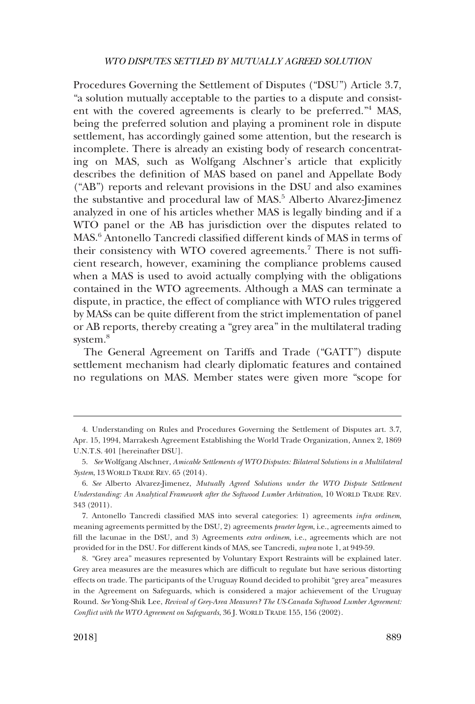Procedures Governing the Settlement of Disputes ("DSU") Article 3.7, "a solution mutually acceptable to the parties to a dispute and consistent with the covered agreements is clearly to be preferred."4 MAS, being the preferred solution and playing a prominent role in dispute settlement, has accordingly gained some attention, but the research is incomplete. There is already an existing body of research concentrating on MAS, such as Wolfgang Alschner's article that explicitly describes the definition of MAS based on panel and Appellate Body ("AB") reports and relevant provisions in the DSU and also examines the substantive and procedural law of MAS.<sup>5</sup> Alberto Alvarez-Jimenez analyzed in one of his articles whether MAS is legally binding and if a WTO panel or the AB has jurisdiction over the disputes related to MAS.6 Antonello Tancredi classified different kinds of MAS in terms of their consistency with WTO covered agreements.<sup>7</sup> There is not sufficient research, however, examining the compliance problems caused when a MAS is used to avoid actually complying with the obligations contained in the WTO agreements. Although a MAS can terminate a dispute, in practice, the effect of compliance with WTO rules triggered by MASs can be quite different from the strict implementation of panel or AB reports, thereby creating a "grey area" in the multilateral trading system.<sup>8</sup>

The General Agreement on Tariffs and Trade ("GATT") dispute settlement mechanism had clearly diplomatic features and contained no regulations on MAS. Member states were given more "scope for

<sup>4.</sup> Understanding on Rules and Procedures Governing the Settlement of Disputes art. 3.7, Apr. 15, 1994, Marrakesh Agreement Establishing the World Trade Organization, Annex 2, 1869 U.N.T.S. 401 [hereinafter DSU].

<sup>5.</sup> *See* Wolfgang Alschner, *Amicable Settlements of WTO Disputes: Bilateral Solutions in a Multilateral System*, 13 WORLD TRADE REV. 65 (2014).

<sup>6.</sup> *See* Alberto Alvarez-Jimenez, *Mutually Agreed Solutions under the WTO Dispute Settlement Understanding: An Analytical Framework after the Softwood Lumber Arbitration*, 10 WORLD TRADE REV. 343 (2011).

<sup>7.</sup> Antonello Tancredi classified MAS into several categories: 1) agreements *infra ordinem*, meaning agreements permitted by the DSU, 2) agreements *praeter legem*, i.e., agreements aimed to fill the lacunae in the DSU, and 3) Agreements *extra ordinem*, i.e., agreements which are not provided for in the DSU. For different kinds of MAS, see Tancredi, *supra* note 1, at 949-59.

<sup>8. &</sup>quot;Grey area" measures represented by Voluntary Export Restraints will be explained later. Grey area measures are the measures which are difficult to regulate but have serious distorting effects on trade. The participants of the Uruguay Round decided to prohibit "grey area" measures in the Agreement on Safeguards, which is considered a major achievement of the Uruguay Round. *See* Yong-Shik Lee, *Revival of Grey-Area Measures? The US-Canada Softwood Lumber Agreement: Conflict with the WTO Agreement on Safeguards*, 36 J. WORLD TRADE 155, 156 (2002).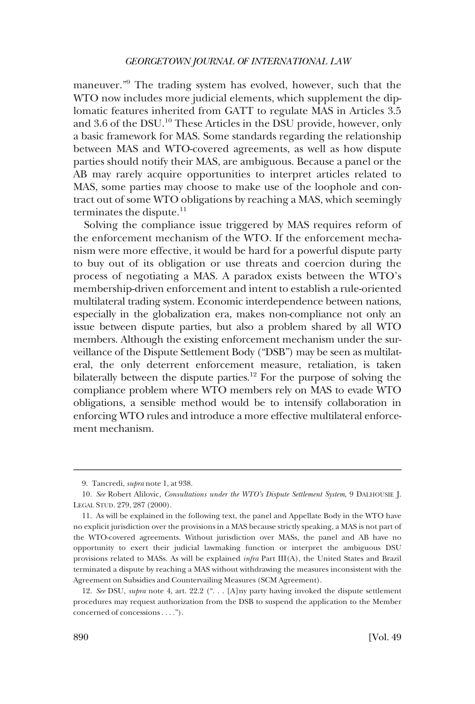maneuver."9 The trading system has evolved, however, such that the WTO now includes more judicial elements, which supplement the diplomatic features inherited from GATT to regulate MAS in Articles 3.5 and 3.6 of the DSU.<sup>10</sup> These Articles in the DSU provide, however, only a basic framework for MAS. Some standards regarding the relationship between MAS and WTO-covered agreements, as well as how dispute parties should notify their MAS, are ambiguous. Because a panel or the AB may rarely acquire opportunities to interpret articles related to MAS, some parties may choose to make use of the loophole and contract out of some WTO obligations by reaching a MAS, which seemingly terminates the dispute.<sup>11</sup>

Solving the compliance issue triggered by MAS requires reform of the enforcement mechanism of the WTO. If the enforcement mechanism were more effective, it would be hard for a powerful dispute party to buy out of its obligation or use threats and coercion during the process of negotiating a MAS. A paradox exists between the WTO's membership-driven enforcement and intent to establish a rule-oriented multilateral trading system. Economic interdependence between nations, especially in the globalization era, makes non-compliance not only an issue between dispute parties, but also a problem shared by all WTO members. Although the existing enforcement mechanism under the surveillance of the Dispute Settlement Body ("DSB") may be seen as multilateral, the only deterrent enforcement measure, retaliation, is taken bilaterally between the dispute parties.<sup>12</sup> For the purpose of solving the compliance problem where WTO members rely on MAS to evade WTO obligations, a sensible method would be to intensify collaboration in enforcing WTO rules and introduce a more effective multilateral enforcement mechanism.

<sup>9.</sup> Tancredi, *supra* note 1, at 938.

<sup>10.</sup> *See* Robert Alilovic, *Consultations under the WTO's Dispute Settlement System*, 9 DALHOUSIE J. LEGAL STUD. 279, 287 (2000).

<sup>11.</sup> As will be explained in the following text, the panel and Appellate Body in the WTO have no explicit jurisdiction over the provisions in a MAS because strictly speaking, a MAS is not part of the WTO-covered agreements. Without jurisdiction over MASs, the panel and AB have no opportunity to exert their judicial lawmaking function or interpret the ambiguous DSU provisions related to MASs. As will be explained *infra* Part III(A), the United States and Brazil terminated a dispute by reaching a MAS without withdrawing the measures inconsistent with the Agreement on Subsidies and Countervailing Measures (SCM Agreement).

<sup>12.</sup> *See* DSU, *supra* note 4, art. 22.2 (". . . [A]ny party having invoked the dispute settlement procedures may request authorization from the DSB to suspend the application to the Member concerned of concessions . . . .").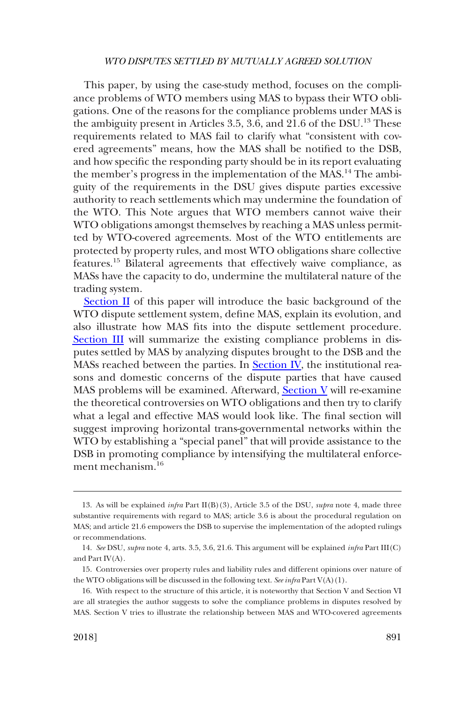This paper, by using the case-study method, focuses on the compliance problems of WTO members using MAS to bypass their WTO obligations. One of the reasons for the compliance problems under MAS is the ambiguity present in Articles 3.5, 3.6, and  $21.6$  of the DSU.<sup>13</sup> These requirements related to MAS fail to clarify what "consistent with covered agreements" means, how the MAS shall be notified to the DSB, and how specific the responding party should be in its report evaluating the member's progress in the implementation of the MAS.<sup>14</sup> The ambiguity of the requirements in the DSU gives dispute parties excessive authority to reach settlements which may undermine the foundation of the WTO. This Note argues that WTO members cannot waive their WTO obligations amongst themselves by reaching a MAS unless permitted by WTO-covered agreements. Most of the WTO entitlements are protected by property rules, and most WTO obligations share collective features.15 Bilateral agreements that effectively waive compliance, as MASs have the capacity to do, undermine the multilateral nature of the trading system.

[Section II](#page-5-0) of this paper will introduce the basic background of the WTO dispute settlement system, define MAS, explain its evolution, and also illustrate how MAS fits into the dispute settlement procedure. [Section III](#page-12-0) will summarize the existing compliance problems in disputes settled by MAS by analyzing disputes brought to the DSB and the MASs reached between the parties. In [Section IV](#page-18-0), the institutional reasons and domestic concerns of the dispute parties that have caused MAS problems will be examined. Afterward, [Section V](#page-24-0) will re-examine the theoretical controversies on WTO obligations and then try to clarify what a legal and effective MAS would look like. The final section will suggest improving horizontal trans-governmental networks within the WTO by establishing a "special panel" that will provide assistance to the DSB in promoting compliance by intensifying the multilateral enforcement mechanism.16

<sup>13.</sup> As will be explained *infra* Part II(B)(3), Article 3.5 of the DSU, *supra* note 4, made three substantive requirements with regard to MAS; article 3.6 is about the procedural regulation on MAS; and article 21.6 empowers the DSB to supervise the implementation of the adopted rulings or recommendations.

<sup>14.</sup> *See* DSU, *supra* note 4, arts. 3.5, 3.6, 21.6. This argument will be explained *infra* Part III(C) and Part IV(A).

<sup>15.</sup> Controversies over property rules and liability rules and different opinions over nature of the WTO obligations will be discussed in the following text. *See infra* Part V(A)(1).

<sup>16.</sup> With respect to the structure of this article, it is noteworthy that Section V and Section VI are all strategies the author suggests to solve the compliance problems in disputes resolved by MAS. Section V tries to illustrate the relationship between MAS and WTO-covered agreements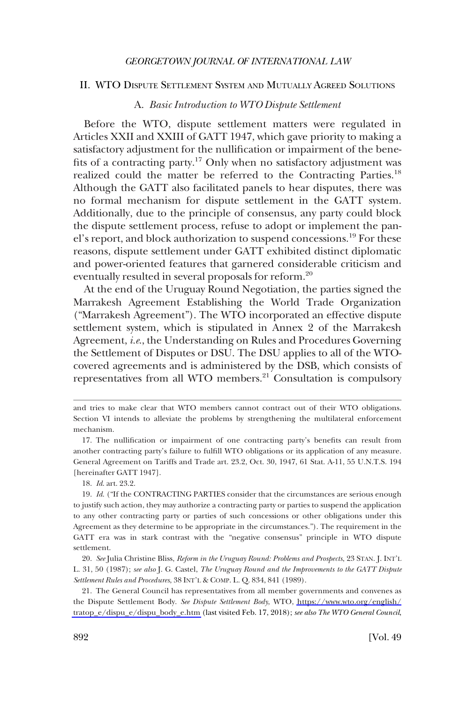#### <span id="page-5-0"></span>II. WTO DISPUTE SETTLEMENT SYSTEM AND MUTUALLY AGREED SOLUTIONS

# A. *Basic Introduction to WTO Dispute Settlement*

Before the WTO, dispute settlement matters were regulated in Articles XXII and XXIII of GATT 1947, which gave priority to making a satisfactory adjustment for the nullification or impairment of the benefits of a contracting party.<sup>17</sup> Only when no satisfactory adjustment was realized could the matter be referred to the Contracting Parties.<sup>18</sup> Although the GATT also facilitated panels to hear disputes, there was no formal mechanism for dispute settlement in the GATT system. Additionally, due to the principle of consensus, any party could block the dispute settlement process, refuse to adopt or implement the panel's report, and block authorization to suspend concessions.19 For these reasons, dispute settlement under GATT exhibited distinct diplomatic and power-oriented features that garnered considerable criticism and eventually resulted in several proposals for reform.<sup>20</sup>

At the end of the Uruguay Round Negotiation, the parties signed the Marrakesh Agreement Establishing the World Trade Organization ("Marrakesh Agreement"). The WTO incorporated an effective dispute settlement system, which is stipulated in Annex 2 of the Marrakesh Agreement, *i.e*., the Understanding on Rules and Procedures Governing the Settlement of Disputes or DSU. The DSU applies to all of the WTOcovered agreements and is administered by the DSB, which consists of representatives from all WTO members.<sup>21</sup> Consultation is compulsory

18. *Id*. art. 23.2.

and tries to make clear that WTO members cannot contract out of their WTO obligations. Section VI intends to alleviate the problems by strengthening the multilateral enforcement mechanism.

<sup>17.</sup> The nullification or impairment of one contracting party's benefits can result from another contracting party's failure to fulfill WTO obligations or its application of any measure. General Agreement on Tariffs and Trade art. 23.2, Oct. 30, 1947, 61 Stat. A-11, 55 U.N.T.S. 194 [hereinafter GATT 1947].

<sup>19.</sup> *Id*. ("If the CONTRACTING PARTIES consider that the circumstances are serious enough to justify such action, they may authorize a contracting party or parties to suspend the application to any other contracting party or parties of such concessions or other obligations under this Agreement as they determine to be appropriate in the circumstances."). The requirement in the GATT era was in stark contrast with the "negative consensus" principle in WTO dispute settlement.

<sup>20.</sup> *See* Julia Christine Bliss, *Reform in the Uruguay Round: Problems and Prospects*, 23 STAN. J. INT'L L. 31, 50 (1987); *see also* J. G. Castel, *The Uruguay Round and the Improvements to the GATT Dispute Settlement Rules and Procedures*, 38 INT'L & COMP. L. Q. 834, 841 (1989).

<sup>21.</sup> The General Council has representatives from all member governments and convenes as the Dispute Settlement Body. *See Dispute Settlement Body*, WTO, [https://www.wto.org/english/](https://www.wto.org/english/tratop_e/dispu_e/dispu_body_e.htm) [tratop\\_e/dispu\\_e/dispu\\_body\\_e.htm](https://www.wto.org/english/tratop_e/dispu_e/dispu_body_e.htm) (last visited Feb. 17, 2018); *see also The WTO General Council*,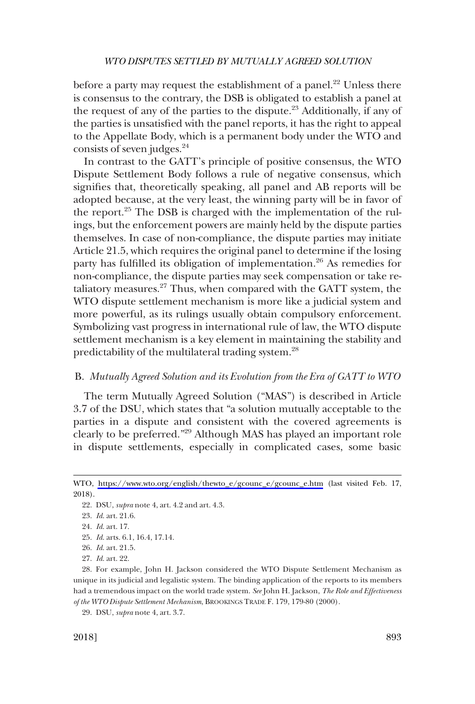<span id="page-6-0"></span>before a party may request the establishment of a panel.<sup>22</sup> Unless there is consensus to the contrary, the DSB is obligated to establish a panel at the request of any of the parties to the dispute.<sup>23</sup> Additionally, if any of the parties is unsatisfied with the panel reports, it has the right to appeal to the Appellate Body, which is a permanent body under the WTO and consists of seven judges.24

In contrast to the GATT's principle of positive consensus, the WTO Dispute Settlement Body follows a rule of negative consensus, which signifies that, theoretically speaking, all panel and AB reports will be adopted because, at the very least, the winning party will be in favor of the report.<sup>25</sup> The DSB is charged with the implementation of the rulings, but the enforcement powers are mainly held by the dispute parties themselves. In case of non-compliance, the dispute parties may initiate Article 21.5, which requires the original panel to determine if the losing party has fulfilled its obligation of implementation.<sup>26</sup> As remedies for non-compliance, the dispute parties may seek compensation or take retaliatory measures. $27$  Thus, when compared with the GATT system, the WTO dispute settlement mechanism is more like a judicial system and more powerful, as its rulings usually obtain compulsory enforcement. Symbolizing vast progress in international rule of law, the WTO dispute settlement mechanism is a key element in maintaining the stability and predictability of the multilateral trading system.<sup>28</sup>

# B. *Mutually Agreed Solution and its Evolution from the Era of GATT to WTO*

The term Mutually Agreed Solution ("MAS") is described in Article 3.7 of the DSU, which states that "a solution mutually acceptable to the parties in a dispute and consistent with the covered agreements is clearly to be preferred."29 Although MAS has played an important role in dispute settlements, especially in complicated cases, some basic

29. DSU, *supra* note 4, art. 3.7.

WTO, [https://www.wto.org/english/thewto\\_e/gcounc\\_e/gcounc\\_e.htm](https://www.wto.org/english/thewto_e/gcounc_e/gcounc_e.htm) (last visited Feb. 17, 2018).

<sup>22.</sup> DSU, *supra* note 4, art. 4.2 and art. 4.3.

<sup>23.</sup> *Id*. art. 21.6.

<sup>24.</sup> *Id*. art. 17.

<sup>25.</sup> *Id*. arts. 6.1, 16.4, 17.14.

<sup>26.</sup> *Id*. art. 21.5.

<sup>27.</sup> *Id*. art. 22.

<sup>28.</sup> For example, John H. Jackson considered the WTO Dispute Settlement Mechanism as unique in its judicial and legalistic system. The binding application of the reports to its members had a tremendous impact on the world trade system. *See* John H. Jackson, *The Role and Effectiveness of the WTO Dispute Settlement Mechanism*, BROOKINGS TRADE F. 179, 179-80 (2000).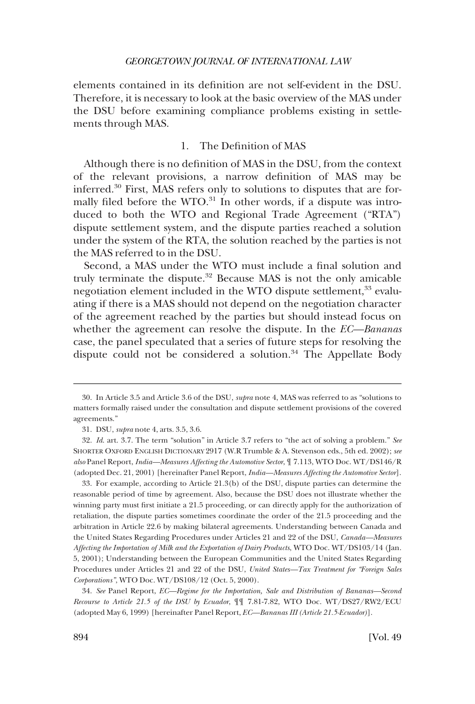<span id="page-7-0"></span>elements contained in its definition are not self-evident in the DSU. Therefore, it is necessary to look at the basic overview of the MAS under the DSU before examining compliance problems existing in settlements through MAS.

# 1. The Definition of MAS

Although there is no definition of MAS in the DSU, from the context of the relevant provisions, a narrow definition of MAS may be inferred.30 First, MAS refers only to solutions to disputes that are formally filed before the WTO. $31$  In other words, if a dispute was introduced to both the WTO and Regional Trade Agreement ("RTA") dispute settlement system, and the dispute parties reached a solution under the system of the RTA, the solution reached by the parties is not the MAS referred to in the DSU.

Second, a MAS under the WTO must include a final solution and truly terminate the dispute.<sup>32</sup> Because MAS is not the only amicable negotiation element included in the WTO dispute settlement,<sup>33</sup> evaluating if there is a MAS should not depend on the negotiation character of the agreement reached by the parties but should instead focus on whether the agreement can resolve the dispute. In the *EC—Bananas*  case, the panel speculated that a series of future steps for resolving the dispute could not be considered a solution.<sup>34</sup> The Appellate Body

33. For example, according to Article 21.3(b) of the DSU, dispute parties can determine the reasonable period of time by agreement. Also, because the DSU does not illustrate whether the winning party must first initiate a 21.5 proceeding, or can directly apply for the authorization of retaliation, the dispute parties sometimes coordinate the order of the 21.5 proceeding and the arbitration in Article 22.6 by making bilateral agreements. Understanding between Canada and the United States Regarding Procedures under Articles 21 and 22 of the DSU, *Canada—Measures Affecting the Importation of Milk and the Exportation of Dairy Products*, WTO Doc. WT/DS103/14 (Jan. 5, 2001); Understanding between the European Communities and the United States Regarding Procedures under Articles 21 and 22 of the DSU, *United States—Tax Treatment for "Foreign Sales Corporations"*, WTO Doc. WT/DS108/12 (Oct. 5, 2000).

34. *See* Panel Report, *EC—Regime for the Importation, Sale and Distribution of Bananas—Second Recourse to Article 21.5 of the DSU by Ecuador*, ¶¶ 7.81-7.82, WTO Doc. WT/DS27/RW2/ECU (adopted May 6, 1999) [hereinafter Panel Report, *EC—Bananas III (Article 21.5-Ecuador)*].

<sup>30.</sup> In Article 3.5 and Article 3.6 of the DSU, *supra* note 4, MAS was referred to as "solutions to matters formally raised under the consultation and dispute settlement provisions of the covered agreements."

<sup>31.</sup> DSU, *supra* note 4, arts. 3.5, 3.6.

<sup>32.</sup> *Id*. art. 3.7. The term "solution" in Article 3.7 refers to "the act of solving a problem." *See*  SHORTER OXFORD ENGLISH DICTIONARY 2917 (W.R Trumble & A. Stevenson eds., 5th ed. 2002); *see also* Panel Report, *India—Measures Affecting the Automotive Sector*, ¶ 7.113, WTO Doc. WT/DS146/R (adopted Dec. 21, 2001) [hereinafter Panel Report, *India—Measures Affecting the Automotive Sector*].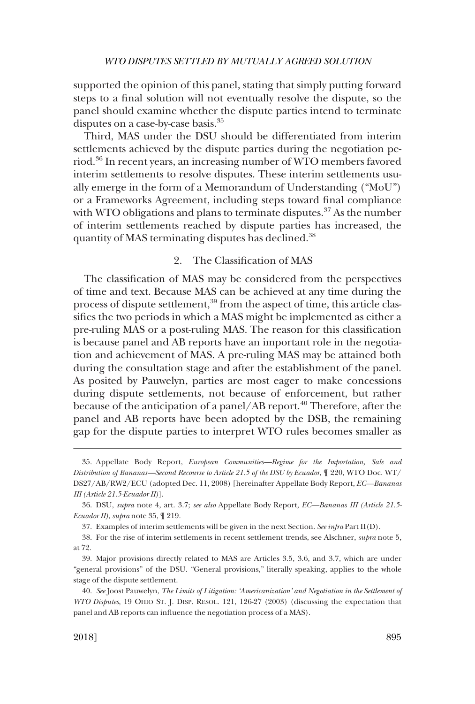<span id="page-8-0"></span>supported the opinion of this panel, stating that simply putting forward steps to a final solution will not eventually resolve the dispute, so the panel should examine whether the dispute parties intend to terminate disputes on a case-by-case basis.<sup>35</sup>

Third, MAS under the DSU should be differentiated from interim settlements achieved by the dispute parties during the negotiation period.36 In recent years, an increasing number of WTO members favored interim settlements to resolve disputes. These interim settlements usually emerge in the form of a Memorandum of Understanding ("MoU") or a Frameworks Agreement, including steps toward final compliance with WTO obligations and plans to terminate disputes. $37$  As the number of interim settlements reached by dispute parties has increased, the quantity of MAS terminating disputes has declined.38

# 2. The Classification of MAS

The classification of MAS may be considered from the perspectives of time and text. Because MAS can be achieved at any time during the process of dispute settlement,<sup>39</sup> from the aspect of time, this article classifies the two periods in which a MAS might be implemented as either a pre-ruling MAS or a post-ruling MAS. The reason for this classification is because panel and AB reports have an important role in the negotiation and achievement of MAS. A pre-ruling MAS may be attained both during the consultation stage and after the establishment of the panel. As posited by Pauwelyn, parties are most eager to make concessions during dispute settlements, not because of enforcement, but rather because of the anticipation of a panel/AB report.<sup>40</sup> Therefore, after the panel and AB reports have been adopted by the DSB, the remaining gap for the dispute parties to interpret WTO rules becomes smaller as

<sup>35.</sup> Appellate Body Report, *European Communities—Regime for the Importation, Sale and Distribution of Bananas—Second Recourse to Article 21.5 of the DSU by Ecuador*, ¶ 220, WTO Doc. WT/ DS27/AB/RW2/ECU (adopted Dec. 11, 2008) [hereinafter Appellate Body Report, *EC—Bananas III (Article 21.5-Ecuador II)*].

<sup>36.</sup> DSU, *supra* note 4, art. 3.7; *see also* Appellate Body Report, *EC—Bananas III (Article 21.5- Ecuador II)*, *supra* note 35, ¶ 219.

<sup>37.</sup> Examples of interim settlements will be given in the next Section. *See infra* Part II(D).

<sup>38.</sup> For the rise of interim settlements in recent settlement trends, see Alschner, *supra* note 5, at 72.

<sup>39.</sup> Major provisions directly related to MAS are Articles 3.5, 3.6, and 3.7, which are under "general provisions" of the DSU. "General provisions," literally speaking, applies to the whole stage of the dispute settlement.

<sup>40.</sup> *See* Joost Pauwelyn, *The Limits of Litigation: 'Americanization' and Negotiation in the Settlement of WTO Disputes*, 19 OHIO ST. J. DISP. RESOL. 121, 126-27 (2003) (discussing the expectation that panel and AB reports can influence the negotiation process of a MAS).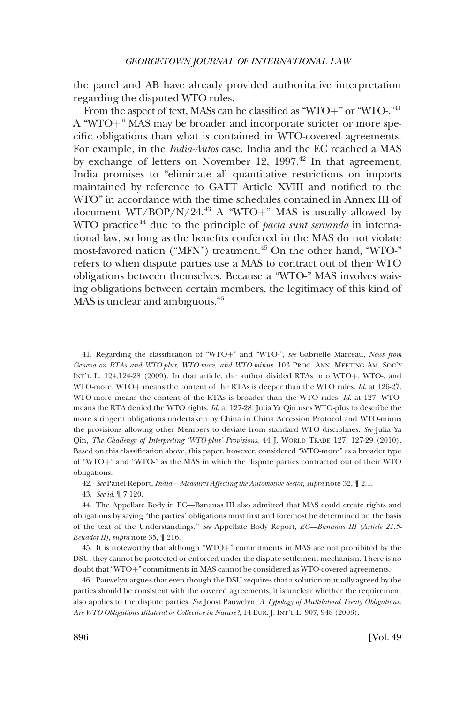the panel and AB have already provided authoritative interpretation regarding the disputed WTO rules.

From the aspect of text, MASs can be classified as "WTO+" or "WTO-."<sup>41</sup> A "WTO+" MAS may be broader and incorporate stricter or more specific obligations than what is contained in WTO-covered agreements. For example, in the *India-Autos* case, India and the EC reached a MAS by exchange of letters on November 12,  $1997<sup>42</sup>$  In that agreement, India promises to "eliminate all quantitative restrictions on imports maintained by reference to GATT Article XVIII and notified to the WTO" in accordance with the time schedules contained in Annex III of document WT/BOP/N/24.<sup>43</sup> A "WTO+" MAS is usually allowed by WTO practice44 due to the principle of *pacta sunt servanda* in international law, so long as the benefits conferred in the MAS do not violate most-favored nation ("MFN") treatment.<sup>45</sup> On the other hand, "WTO-" refers to when dispute parties use a MAS to contract out of their WTO obligations between themselves. Because a "WTO-" MAS involves waiving obligations between certain members, the legitimacy of this kind of MAS is unclear and ambiguous.<sup>46</sup>

<sup>41.</sup> Regarding the classification of "WTO+" and "WTO-", see Gabrielle Marceau, *News from Geneva on RTAs and WTO-plus, WTO-more, and WTO-minus*, 103 PROC. ANN. MEETING AM. SOC'Y INT'L L.  $124,124-28$  (2009). In that article, the author divided RTAs into WTO+, WTO-, and WTO-more. WTO+ means the content of the RTAs is deeper than the WTO rules. *Id.* at 126-27. WTO-more means the content of the RTAs is broader than the WTO rules. *Id*. at 127. WTOmeans the RTA denied the WTO rights. *Id*. at 127-28. Julia Ya Qin uses WTO-plus to describe the more stringent obligations undertaken by China in China Accession Protocol and WTO-minus the provisions allowing other Members to deviate from standard WTO disciplines. *See* Julia Ya Qin, *The Challenge of Interpreting 'WTO-plus' Provisions*, 44 J. WORLD TRADE 127, 127-29 (2010). Based on this classification above, this paper, however, considered "WTO-more" as a broader type of "WTO+" and "WTO-" as the MAS in which the dispute parties contracted out of their WTO obligations.

<sup>42.</sup> *See* Panel Report, *India—Measures Affecting the Automotive Sector*, *supra* note 32, ¶ 2.1.

<sup>43.</sup> *See id*. ¶ 7.120.

<sup>44.</sup> The Appellate Body in EC—Bananas III also admitted that MAS could create rights and obligations by saying "the parties' obligations must first and foremost be determined on the basis of the text of the Understandings." *See* Appellate Body Report, *EC—Bananas III (Article 21.5- Ecuador II)*, *supra* note 35, ¶ 216.

<sup>45.</sup> It is noteworthy that although "WTO+" commitments in MAS are not prohibited by the DSU, they cannot be protected or enforced under the dispute settlement mechanism. There is no doubt that "WTO+" commitments in MAS cannot be considered as WTO-covered agreements.

<sup>46.</sup> Pauwelyn argues that even though the DSU requires that a solution mutually agreed by the parties should be consistent with the covered agreements, it is unclear whether the requirement also applies to the dispute parties. *See* Joost Pauwelyn, *A Typology of Multilateral Treaty Obligations: Are WTO Obligations Bilateral or Collective in Nature?*, 14 EUR. J. INT'L L. 907, 948 (2003).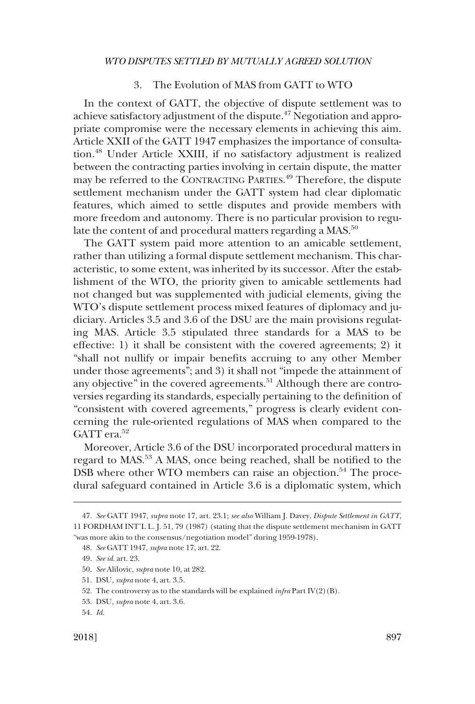# 3. The Evolution of MAS from GATT to WTO

<span id="page-10-0"></span>In the context of GATT, the objective of dispute settlement was to achieve satisfactory adjustment of the dispute.47 Negotiation and appropriate compromise were the necessary elements in achieving this aim. Article XXII of the GATT 1947 emphasizes the importance of consultation.48 Under Article XXIII, if no satisfactory adjustment is realized between the contracting parties involving in certain dispute, the matter may be referred to the CONTRACTING PARTIES. 49 Therefore, the dispute settlement mechanism under the GATT system had clear diplomatic features, which aimed to settle disputes and provide members with more freedom and autonomy. There is no particular provision to regulate the content of and procedural matters regarding a MAS.<sup>50</sup>

The GATT system paid more attention to an amicable settlement, rather than utilizing a formal dispute settlement mechanism. This characteristic, to some extent, was inherited by its successor. After the establishment of the WTO, the priority given to amicable settlements had not changed but was supplemented with judicial elements, giving the WTO's dispute settlement process mixed features of diplomacy and judiciary. Articles 3.5 and 3.6 of the DSU are the main provisions regulating MAS. Article 3.5 stipulated three standards for a MAS to be effective: 1) it shall be consistent with the covered agreements; 2) it "shall not nullify or impair benefits accruing to any other Member under those agreements"; and 3) it shall not "impede the attainment of any objective" in the covered agreements.<sup>51</sup> Although there are controversies regarding its standards, especially pertaining to the definition of "consistent with covered agreements," progress is clearly evident concerning the rule-oriented regulations of MAS when compared to the GATT era.<sup>52</sup>

Moreover, Article 3.6 of the DSU incorporated procedural matters in regard to MAS.53 A MAS, once being reached, shall be notified to the DSB where other WTO members can raise an objection.<sup>54</sup> The procedural safeguard contained in Article 3.6 is a diplomatic system, which

<sup>47.</sup> *See* GATT 1947, *supra* note 17, art. 23.1; *see also* William J. Davey, *Dispute Settlement in GATT*, 11 FORDHAM INT'L L. J. 51, 79 (1987) (stating that the dispute settlement mechanism in GATT "was more akin to the consensus/negotiation model" during 1959-1978).

<sup>48.</sup> *See* GATT 1947, *supra* note 17, art. 22.

<sup>49.</sup> *See id*. art. 23.

<sup>50.</sup> *See* Alilovic, *supra* note 10, at 282.

<sup>51.</sup> DSU, *supra* note 4, art. 3.5.

<sup>52.</sup> The controversy as to the standards will be explained *infra* Part IV(2)(B).

<sup>53.</sup> DSU, *supra* note 4, art. 3.6.

<sup>54.</sup> *Id*.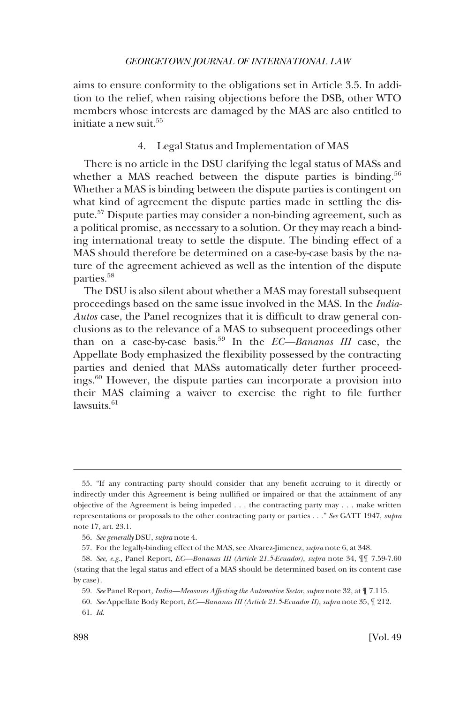<span id="page-11-0"></span>aims to ensure conformity to the obligations set in Article 3.5. In addition to the relief, when raising objections before the DSB, other WTO members whose interests are damaged by the MAS are also entitled to initiate a new suit.<sup>55</sup>

# 4. Legal Status and Implementation of MAS

There is no article in the DSU clarifying the legal status of MASs and whether a MAS reached between the dispute parties is binding.<sup>56</sup> Whether a MAS is binding between the dispute parties is contingent on what kind of agreement the dispute parties made in settling the dispute.57 Dispute parties may consider a non-binding agreement, such as a political promise, as necessary to a solution. Or they may reach a binding international treaty to settle the dispute. The binding effect of a MAS should therefore be determined on a case-by-case basis by the nature of the agreement achieved as well as the intention of the dispute parties.58

The DSU is also silent about whether a MAS may forestall subsequent proceedings based on the same issue involved in the MAS. In the *India-Autos* case, the Panel recognizes that it is difficult to draw general conclusions as to the relevance of a MAS to subsequent proceedings other than on a case-by-case basis.59 In the *EC—Bananas III* case, the Appellate Body emphasized the flexibility possessed by the contracting parties and denied that MASs automatically deter further proceedings.60 However, the dispute parties can incorporate a provision into their MAS claiming a waiver to exercise the right to file further lawsuits.<sup>61</sup>

<sup>55. &</sup>quot;If any contracting party should consider that any benefit accruing to it directly or indirectly under this Agreement is being nullified or impaired or that the attainment of any objective of the Agreement is being impeded . . . the contracting party may . . . make written representations or proposals to the other contracting party or parties . . ." *See* GATT 1947, *supra*  note 17, art. 23.1.

<sup>56.</sup> *See generally* DSU, *supra* note 4.

<sup>57.</sup> For the legally-binding effect of the MAS, see Alvarez-Jimenez, *supra* note 6, at 348.

<sup>58.</sup> *See, e.g*., Panel Report, *EC—Bananas III (Article 21.5-Ecuador)*, *supra* note 34, ¶¶ 7.59-7.60 (stating that the legal status and effect of a MAS should be determined based on its content case by case).

<sup>59.</sup> *See* Panel Report, *India—Measures Affecting the Automotive Sector*, *supra* note 32, at ¶ 7.115.

<sup>60.</sup> *See* Appellate Body Report, *EC—Bananas III (Article 21.5-Ecuador II)*, *supra* note 35, ¶ 212. 61. *Id*.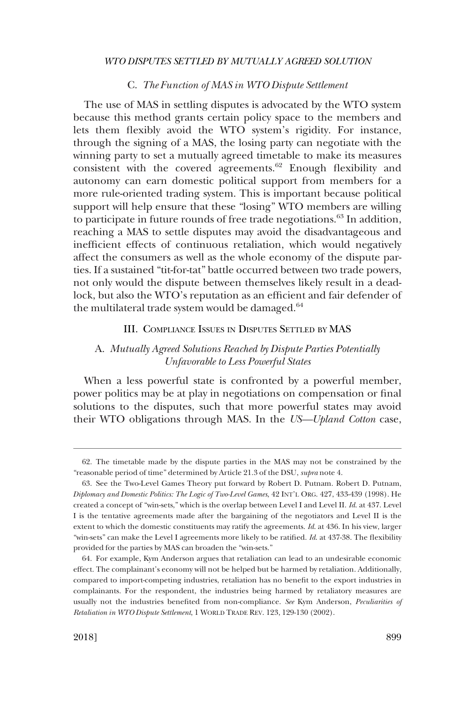# C. *The Function of MAS in WTO Dispute Settlement*

<span id="page-12-0"></span>The use of MAS in settling disputes is advocated by the WTO system because this method grants certain policy space to the members and lets them flexibly avoid the WTO system's rigidity. For instance, through the signing of a MAS, the losing party can negotiate with the winning party to set a mutually agreed timetable to make its measures consistent with the covered agreements.<sup>62</sup> Enough flexibility and autonomy can earn domestic political support from members for a more rule-oriented trading system. This is important because political support will help ensure that these "losing" WTO members are willing to participate in future rounds of free trade negotiations.<sup>63</sup> In addition, reaching a MAS to settle disputes may avoid the disadvantageous and inefficient effects of continuous retaliation, which would negatively affect the consumers as well as the whole economy of the dispute parties. If a sustained "tit-for-tat" battle occurred between two trade powers, not only would the dispute between themselves likely result in a deadlock, but also the WTO's reputation as an efficient and fair defender of the multilateral trade system would be damaged. $64$ 

# III. COMPLIANCE ISSUES IN DISPUTES SETTLED BY MAS

# A. *Mutually Agreed Solutions Reached by Dispute Parties Potentially Unfavorable to Less Powerful States*

When a less powerful state is confronted by a powerful member, power politics may be at play in negotiations on compensation or final solutions to the disputes, such that more powerful states may avoid their WTO obligations through MAS. In the *US—Upland Cotton* case,

<sup>62.</sup> The timetable made by the dispute parties in the MAS may not be constrained by the "reasonable period of time" determined by Article 21.3 of the DSU, *supra* note 4.

<sup>63.</sup> See the Two-Level Games Theory put forward by Robert D. Putnam. Robert D. Putnam, *Diplomacy and Domestic Politics: The Logic of Two-Level Games*, 42 INT'L ORG. 427, 433-439 (1998). He created a concept of "win-sets," which is the overlap between Level I and Level II. *Id*. at 437. Level I is the tentative agreements made after the bargaining of the negotiators and Level II is the extent to which the domestic constituents may ratify the agreements. *Id*. at 436. In his view, larger "win-sets" can make the Level I agreements more likely to be ratified. *Id*. at 437-38. The flexibility provided for the parties by MAS can broaden the "win-sets."

<sup>64.</sup> For example, Kym Anderson argues that retaliation can lead to an undesirable economic effect. The complainant's economy will not be helped but be harmed by retaliation. Additionally, compared to import-competing industries, retaliation has no benefit to the export industries in complainants. For the respondent, the industries being harmed by retaliatory measures are usually not the industries benefited from non-compliance. *See* Kym Anderson, *Peculiarities of Retaliation in WTO Dispute Settlement*, 1 WORLD TRADE REV. 123, 129-130 (2002).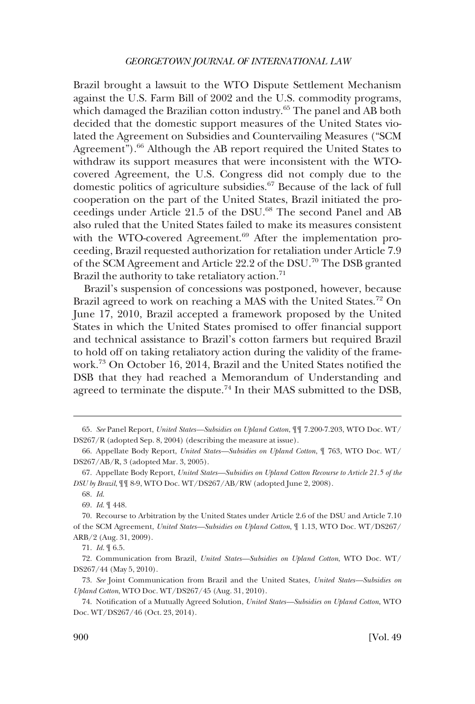Brazil brought a lawsuit to the WTO Dispute Settlement Mechanism against the U.S. Farm Bill of 2002 and the U.S. commodity programs, which damaged the Brazilian cotton industry.<sup>65</sup> The panel and AB both decided that the domestic support measures of the United States violated the Agreement on Subsidies and Countervailing Measures ("SCM Agreement").<sup>66</sup> Although the AB report required the United States to withdraw its support measures that were inconsistent with the WTOcovered Agreement, the U.S. Congress did not comply due to the domestic politics of agriculture subsidies.<sup>67</sup> Because of the lack of full cooperation on the part of the United States, Brazil initiated the proceedings under Article 21.5 of the DSU.<sup>68</sup> The second Panel and AB also ruled that the United States failed to make its measures consistent with the WTO-covered Agreement.<sup>69</sup> After the implementation proceeding, Brazil requested authorization for retaliation under Article 7.9 of the SCM Agreement and Article 22.2 of the DSU.70 The DSB granted Brazil the authority to take retaliatory action.<sup>71</sup>

Brazil's suspension of concessions was postponed, however, because Brazil agreed to work on reaching a MAS with the United States.<sup>72</sup> On June 17, 2010, Brazil accepted a framework proposed by the United States in which the United States promised to offer financial support and technical assistance to Brazil's cotton farmers but required Brazil to hold off on taking retaliatory action during the validity of the framework.73 On October 16, 2014, Brazil and the United States notified the DSB that they had reached a Memorandum of Understanding and agreed to terminate the dispute.<sup>74</sup> In their MAS submitted to the DSB,

71. *Id*. ¶ 6.5.

72. Communication from Brazil, *United States—Subsidies on Upland Cotton*, WTO Doc. WT/ DS267/44 (May 5, 2010).

<sup>65.</sup> *See* Panel Report, *United States—Subsidies on Upland Cotton*, ¶¶ 7.200-7.203, WTO Doc. WT/ DS267/R (adopted Sep. 8, 2004) (describing the measure at issue).

<sup>66.</sup> Appellate Body Report, *United States—Subsidies on Upland Cotton*, ¶ 763, WTO Doc. WT/ DS267/AB/R, 3 (adopted Mar. 3, 2005).

<sup>67.</sup> Appellate Body Report, *United States—Subsidies on Upland Cotton Recourse to Article 21.5 of the DSU by Brazil*, ¶¶ 8-9, WTO Doc. WT/DS267/AB/RW (adopted June 2, 2008).

<sup>68.</sup> *Id*.

<sup>69.</sup> *Id*. ¶ 448.

<sup>70.</sup> Recourse to Arbitration by the United States under Article 2.6 of the DSU and Article 7.10 of the SCM Agreement, *United States—Subsidies on Upland Cotton*, ¶ 1.13, WTO Doc. WT/DS267/ ARB/2 (Aug. 31, 2009).

<sup>73.</sup> *See* Joint Communication from Brazil and the United States, *United States—Subsidies on Upland Cotton*, WTO Doc. WT/DS267/45 (Aug. 31, 2010).

<sup>74.</sup> Notification of a Mutually Agreed Solution, *United States—Subsidies on Upland Cotton*, WTO Doc. WT/DS267/46 (Oct. 23, 2014).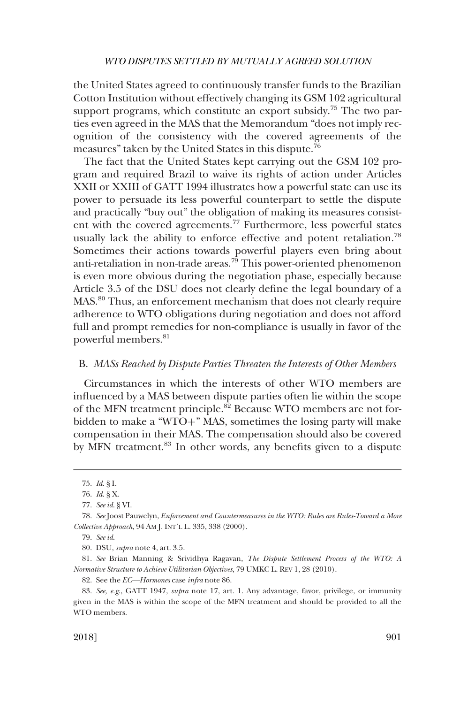<span id="page-14-0"></span>the United States agreed to continuously transfer funds to the Brazilian Cotton Institution without effectively changing its GSM 102 agricultural support programs, which constitute an export subsidy.<sup>75</sup> The two parties even agreed in the MAS that the Memorandum "does not imply recognition of the consistency with the covered agreements of the measures" taken by the United States in this dispute.76

The fact that the United States kept carrying out the GSM 102 program and required Brazil to waive its rights of action under Articles XXII or XXIII of GATT 1994 illustrates how a powerful state can use its power to persuade its less powerful counterpart to settle the dispute and practically "buy out" the obligation of making its measures consistent with the covered agreements.77 Furthermore, less powerful states usually lack the ability to enforce effective and potent retaliation.<sup>78</sup> Sometimes their actions towards powerful players even bring about anti-retaliation in non-trade areas.<sup>79</sup> This power-oriented phenomenon is even more obvious during the negotiation phase, especially because Article 3.5 of the DSU does not clearly define the legal boundary of a MAS.80 Thus, an enforcement mechanism that does not clearly require adherence to WTO obligations during negotiation and does not afford full and prompt remedies for non-compliance is usually in favor of the powerful members.<sup>81</sup>

# B. *MASs Reached by Dispute Parties Threaten the Interests of Other Members*

Circumstances in which the interests of other WTO members are influenced by a MAS between dispute parties often lie within the scope of the MFN treatment principle.<sup>82</sup> Because WTO members are not forbidden to make a "WTO+" MAS, sometimes the losing party will make compensation in their MAS. The compensation should also be covered by MFN treatment.<sup>83</sup> In other words, any benefits given to a dispute

82. See the *EC—Hormones* case *infra* note 86.

<sup>75.</sup> *Id*. § I.

<sup>76.</sup> *Id*. § X.

<sup>77.</sup> *See id*. § VI.

<sup>78.</sup> *See* Joost Pauwelyn, *Enforcement and Countermeasures in the WTO: Rules are Rules-Toward a More Collective Approach*, 94 AM J. INT'L L. 335, 338 (2000).

<sup>79.</sup> *See id*.

<sup>80.</sup> DSU, *supra* note 4, art. 3.5.

<sup>81.</sup> *See* Brian Manning & Srividhya Ragavan, *The Dispute Settlement Process of the WTO: A Normative Structure to Achieve Utilitarian Objectives*, 79 UMKC L. REV 1, 28 (2010).

<sup>83.</sup> *See, e.g*., GATT 1947, *supra* note 17, art. 1. Any advantage, favor, privilege, or immunity given in the MAS is within the scope of the MFN treatment and should be provided to all the WTO members.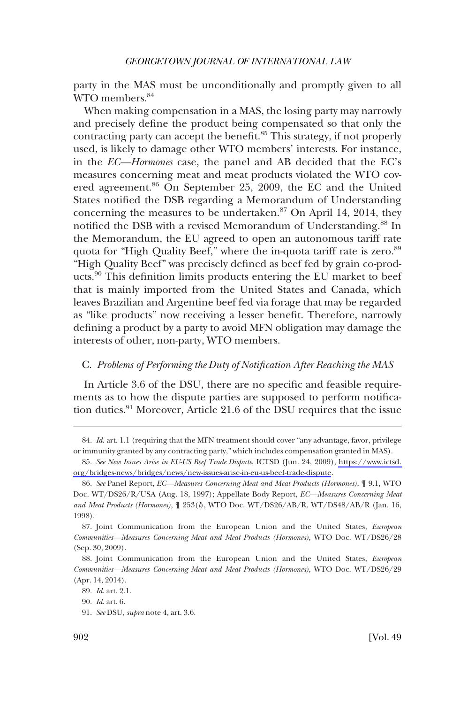<span id="page-15-0"></span>party in the MAS must be unconditionally and promptly given to all WTO members.<sup>84</sup>

When making compensation in a MAS, the losing party may narrowly and precisely define the product being compensated so that only the contracting party can accept the benefit.<sup>85</sup> This strategy, if not properly used, is likely to damage other WTO members' interests. For instance, in the *EC—Hormones* case, the panel and AB decided that the EC's measures concerning meat and meat products violated the WTO covered agreement.<sup>86</sup> On September 25, 2009, the EC and the United States notified the DSB regarding a Memorandum of Understanding concerning the measures to be undertaken. $87$  On April 14, 2014, they notified the DSB with a revised Memorandum of Understanding.<sup>88</sup> In the Memorandum, the EU agreed to open an autonomous tariff rate quota for "High Quality Beef," where the in-quota tariff rate is zero.<sup>89</sup> "High Quality Beef" was precisely defined as beef fed by grain co-products.<sup>90</sup> This definition limits products entering the EU market to beef that is mainly imported from the United States and Canada, which leaves Brazilian and Argentine beef fed via forage that may be regarded as "like products" now receiving a lesser benefit. Therefore, narrowly defining a product by a party to avoid MFN obligation may damage the interests of other, non-party, WTO members.

# C. *Problems of Performing the Duty of Notification After Reaching the MAS*

In Article 3.6 of the DSU, there are no specific and feasible requirements as to how the dispute parties are supposed to perform notification duties.<sup>91</sup> Moreover, Article 21.6 of the DSU requires that the issue

<sup>84.</sup> *Id*. art. 1.1 (requiring that the MFN treatment should cover "any advantage, favor, privilege or immunity granted by any contracting party," which includes compensation granted in MAS).

*See New Issues Arise in EU-US Beef Trade Dispute*, ICTSD (Jun. 24, 2009), [https://www.ictsd.](https://www.ictsd.org/bridges-news/bridges/news/new-issues-arise-in-eu-us-beef-trade-dispute)  85. [org/bridges-news/bridges/news/new-issues-arise-in-eu-us-beef-trade-dispute](https://www.ictsd.org/bridges-news/bridges/news/new-issues-arise-in-eu-us-beef-trade-dispute).

<sup>86.</sup> *See* Panel Report, *EC—Measures Concerning Meat and Meat Products (Hormones)*, ¶ 9.1, WTO Doc. WT/DS26/R/USA (Aug. 18, 1997); Appellate Body Report, *EC—Measures Concerning Meat and Meat Products (Hormones)*, ¶ 253(*l*), WTO Doc. WT/DS26/AB/R, WT/DS48/AB/R (Jan. 16, 1998).

<sup>87.</sup> Joint Communication from the European Union and the United States, *European Communities—Measures Concerning Meat and Meat Products (Hormones)*, WTO Doc. WT/DS26/28 (Sep. 30, 2009).

<sup>88.</sup> Joint Communication from the European Union and the United States, *European Communities—Measures Concerning Meat and Meat Products (Hormones)*, WTO Doc. WT/DS26/29 (Apr. 14, 2014).

<sup>89.</sup> *Id*. art. 2.1.

<sup>90.</sup> *Id*. art. 6.

<sup>91.</sup> *See* DSU, *supra* note 4, art. 3.6.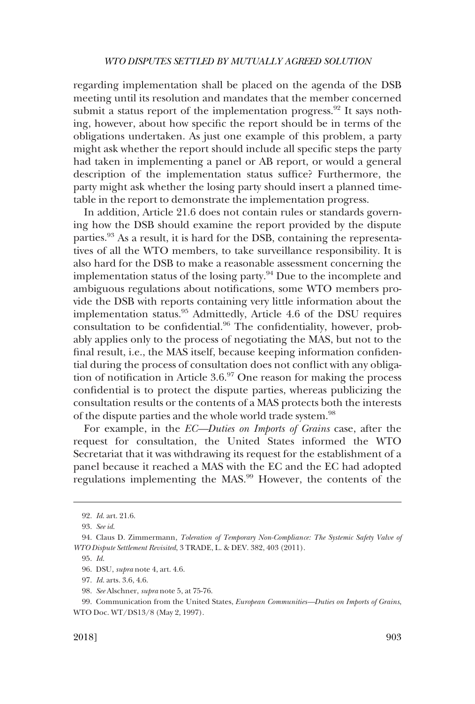regarding implementation shall be placed on the agenda of the DSB meeting until its resolution and mandates that the member concerned submit a status report of the implementation progress.<sup>92</sup> It says nothing, however, about how specific the report should be in terms of the obligations undertaken. As just one example of this problem, a party might ask whether the report should include all specific steps the party had taken in implementing a panel or AB report, or would a general description of the implementation status suffice? Furthermore, the party might ask whether the losing party should insert a planned timetable in the report to demonstrate the implementation progress.

In addition, Article 21.6 does not contain rules or standards governing how the DSB should examine the report provided by the dispute parties.<sup>93</sup> As a result, it is hard for the DSB, containing the representatives of all the WTO members, to take surveillance responsibility. It is also hard for the DSB to make a reasonable assessment concerning the implementation status of the losing party.<sup>94</sup> Due to the incomplete and ambiguous regulations about notifications, some WTO members provide the DSB with reports containing very little information about the implementation status.95 Admittedly, Article 4.6 of the DSU requires consultation to be confidential.<sup>96</sup> The confidentiality, however, probably applies only to the process of negotiating the MAS, but not to the final result, i.e., the MAS itself, because keeping information confidential during the process of consultation does not conflict with any obligation of notification in Article 3.6.97 One reason for making the process confidential is to protect the dispute parties, whereas publicizing the consultation results or the contents of a MAS protects both the interests of the dispute parties and the whole world trade system.<sup>98</sup>

For example, in the *EC—Duties on Imports of Grains* case, after the request for consultation, the United States informed the WTO Secretariat that it was withdrawing its request for the establishment of a panel because it reached a MAS with the EC and the EC had adopted regulations implementing the MAS.99 However, the contents of the

<sup>92.</sup> *Id*. art. 21.6.

<sup>93.</sup> *See id*.

<sup>94.</sup> Claus D. Zimmermann, *Toleration of Temporary Non-Compliance: The Systemic Safety Valve of WTO Dispute Settlement Revisited*, 3 TRADE, L. & DEV. 382, 403 (2011).

<sup>95.</sup> *Id*.

<sup>96.</sup> DSU, *supra* note 4, art. 4.6.

<sup>97.</sup> *Id*. arts. 3.6, 4.6.

<sup>98.</sup> *See* Alschner, *supra* note 5, at 75-76.

<sup>99.</sup> Communication from the United States, *European Communities—Duties on Imports of Grains*, WTO Doc. WT/DS13/8 (May 2, 1997).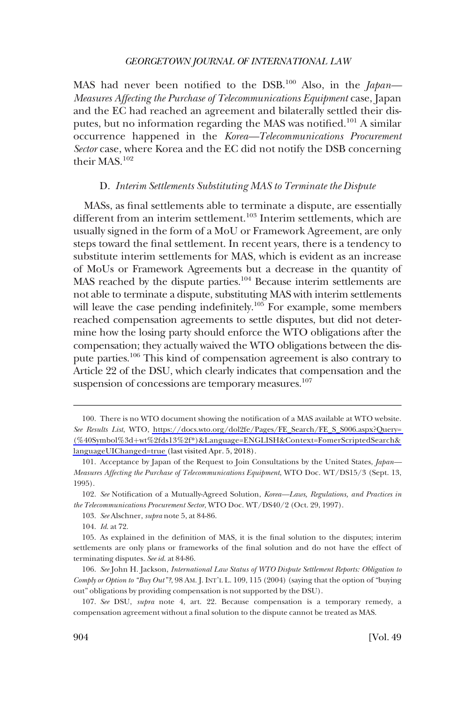<span id="page-17-0"></span>MAS had never been notified to the DSB.100 Also, in the *Japan— Measures Affecting the Purchase of Telecommunications Equipment* case, Japan and the EC had reached an agreement and bilaterally settled their disputes, but no information regarding the MAS was notified.<sup>101</sup> A similar occurrence happened in the *Korea—Telecommunications Procurement Sector* case, where Korea and the EC did not notify the DSB concerning their MAS.<sup>102</sup>

#### D. *Interim Settlements Substituting MAS to Terminate the Dispute*

MASs, as final settlements able to terminate a dispute, are essentially different from an interim settlement.<sup>103</sup> Interim settlements, which are usually signed in the form of a MoU or Framework Agreement, are only steps toward the final settlement. In recent years, there is a tendency to substitute interim settlements for MAS, which is evident as an increase of MoUs or Framework Agreements but a decrease in the quantity of MAS reached by the dispute parties.<sup>104</sup> Because interim settlements are not able to terminate a dispute, substituting MAS with interim settlements will leave the case pending indefinitely.<sup>105</sup> For example, some members reached compensation agreements to settle disputes, but did not determine how the losing party should enforce the WTO obligations after the compensation; they actually waived the WTO obligations between the dispute parties.106 This kind of compensation agreement is also contrary to Article 22 of the DSU, which clearly indicates that compensation and the suspension of concessions are temporary measures.<sup>107</sup>

<sup>100.</sup> There is no WTO document showing the notification of a MAS available at WTO website. *See Results List*, WTO, [https://docs.wto.org/dol2fe/Pages/FE\\_Search/FE\\_S\\_S006.aspx?Query=](https://docs.wto.org/dol2fe/Pages/FE_Search/FE_S_S006.aspx?Query=(%40Symbol%3d+wt%2fds13%2f*)&Language=ENGLISH&Context=FomerScriptedSearch&languageUIChanged=true)  (%40Symbol%3dþ[wt%2fds13%2f\\*\)&Language=ENGLISH&Context=FomerScriptedSearch&](https://docs.wto.org/dol2fe/Pages/FE_Search/FE_S_S006.aspx?Query=(%40Symbol%3d+wt%2fds13%2f*)&Language=ENGLISH&Context=FomerScriptedSearch&languageUIChanged=true)  [languageUIChanged=true](https://docs.wto.org/dol2fe/Pages/FE_Search/FE_S_S006.aspx?Query=(%40Symbol%3d+wt%2fds13%2f*)&Language=ENGLISH&Context=FomerScriptedSearch&languageUIChanged=true) (last visited Apr. 5, 2018).

<sup>101.</sup> Acceptance by Japan of the Request to Join Consultations by the United States, *Japan— Measures Affecting the Purchase of Telecommunications Equipment*, WTO Doc. WT/DS15/3 (Sept. 13, 1995).

<sup>102.</sup> *See* Notification of a Mutually-Agreed Solution, *Korea—Laws, Regulations, and Practices in the Telecommunications Procurement Sector*, WTO Doc. WT/DS40/2 (Oct. 29, 1997).

<sup>103.</sup> *See* Alschner, *supra* note 5, at 84-86.

<sup>104.</sup> *Id*. at 72.

<sup>105.</sup> As explained in the definition of MAS, it is the final solution to the disputes; interim settlements are only plans or frameworks of the final solution and do not have the effect of terminating disputes. *See id*. at 84-86.

<sup>106.</sup> *See* John H. Jackson, *International Law Status of WTO Dispute Settlement Reports: Obligation to Comply or Option to "Buy Out"?*, 98 AM. J. INT'L L. 109, 115 (2004) (saying that the option of "buying out" obligations by providing compensation is not supported by the DSU).

<sup>107.</sup> *See* DSU, *supra* note 4, art. 22. Because compensation is a temporary remedy, a compensation agreement without a final solution to the dispute cannot be treated as MAS.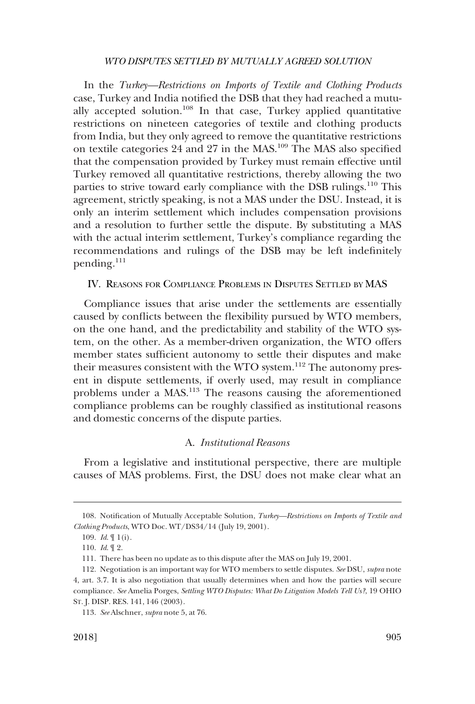<span id="page-18-0"></span>In the *Turkey—Restrictions on Imports of Textile and Clothing Products*  case, Turkey and India notified the DSB that they had reached a mutually accepted solution.108 In that case, Turkey applied quantitative restrictions on nineteen categories of textile and clothing products from India, but they only agreed to remove the quantitative restrictions on textile categories 24 and 27 in the MAS.109 The MAS also specified that the compensation provided by Turkey must remain effective until Turkey removed all quantitative restrictions, thereby allowing the two parties to strive toward early compliance with the DSB rulings.110 This agreement, strictly speaking, is not a MAS under the DSU. Instead, it is only an interim settlement which includes compensation provisions and a resolution to further settle the dispute. By substituting a MAS with the actual interim settlement, Turkey's compliance regarding the recommendations and rulings of the DSB may be left indefinitely pending.<sup>111</sup>

# IV. REASONS FOR COMPLIANCE PROBLEMS IN DISPUTES SETTLED BY MAS

Compliance issues that arise under the settlements are essentially caused by conflicts between the flexibility pursued by WTO members, on the one hand, and the predictability and stability of the WTO system, on the other. As a member-driven organization, the WTO offers member states sufficient autonomy to settle their disputes and make their measures consistent with the WTO system.<sup>112</sup> The autonomy present in dispute settlements, if overly used, may result in compliance problems under a MAS.<sup>113</sup> The reasons causing the aforementioned compliance problems can be roughly classified as institutional reasons and domestic concerns of the dispute parties.

# A. *Institutional Reasons*

From a legislative and institutional perspective, there are multiple causes of MAS problems. First, the DSU does not make clear what an

<sup>108.</sup> Notification of Mutually Acceptable Solution, *Turkey—Restrictions on Imports of Textile and Clothing Products*, WTO Doc. WT/DS34/14 (July 19, 2001).

<sup>109.</sup> *Id*. ¶ 1(i).

<sup>110.</sup> *Id*. ¶ 2.

<sup>111.</sup> There has been no update as to this dispute after the MAS on July 19, 2001.

<sup>112.</sup> Negotiation is an important way for WTO members to settle disputes. *See* DSU, *supra* note 4, art. 3.7. It is also negotiation that usually determines when and how the parties will secure compliance. *See* Amelia Porges, *Settling WTO Disputes: What Do Litigation Models Tell Us?*, 19 OHIO ST. J. DISP. RES. 141, 146 (2003).

<sup>113.</sup> *See* Alschner, *supra* note 5, at 76.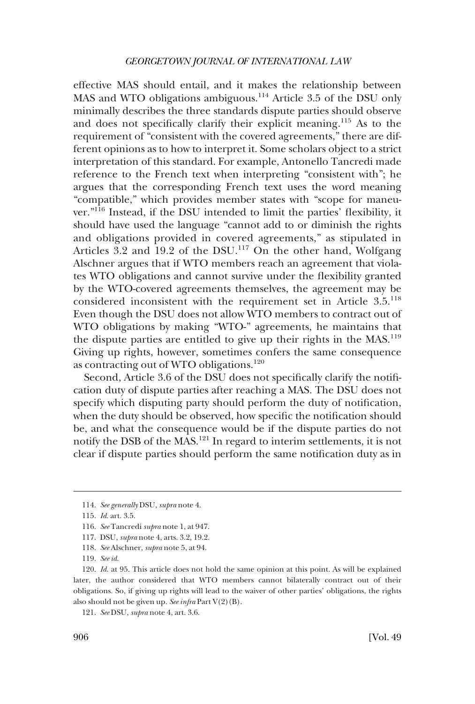effective MAS should entail, and it makes the relationship between MAS and WTO obligations ambiguous.<sup>114</sup> Article 3.5 of the DSU only minimally describes the three standards dispute parties should observe and does not specifically clarify their explicit meaning.115 As to the requirement of "consistent with the covered agreements," there are different opinions as to how to interpret it. Some scholars object to a strict interpretation of this standard. For example, Antonello Tancredi made reference to the French text when interpreting "consistent with"; he argues that the corresponding French text uses the word meaning "compatible," which provides member states with "scope for maneuver."116 Instead, if the DSU intended to limit the parties' flexibility, it should have used the language "cannot add to or diminish the rights and obligations provided in covered agreements," as stipulated in Articles 3.2 and 19.2 of the DSU.<sup>117</sup> On the other hand, Wolfgang Alschner argues that if WTO members reach an agreement that violates WTO obligations and cannot survive under the flexibility granted by the WTO-covered agreements themselves, the agreement may be considered inconsistent with the requirement set in Article 3.5.<sup>118</sup> Even though the DSU does not allow WTO members to contract out of WTO obligations by making "WTO-" agreements, he maintains that the dispute parties are entitled to give up their rights in the  $MAS$ <sup>119</sup> Giving up rights, however, sometimes confers the same consequence as contracting out of WTO obligations.<sup>120</sup>

Second, Article 3.6 of the DSU does not specifically clarify the notification duty of dispute parties after reaching a MAS. The DSU does not specify which disputing party should perform the duty of notification, when the duty should be observed, how specific the notification should be, and what the consequence would be if the dispute parties do not notify the DSB of the MAS.121 In regard to interim settlements, it is not clear if dispute parties should perform the same notification duty as in

<sup>114.</sup> *See generally* DSU, *supra* note 4.

<sup>115.</sup> *Id*. art. 3.5.

<sup>116.</sup> *See* Tancredi *supra* note 1, at 947.

<sup>117.</sup> DSU, *supra* note 4, arts. 3.2, 19.2.

<sup>118.</sup> *See* Alschner, *supra* note 5, at 94.

<sup>119.</sup> *See id*.

<sup>120.</sup> *Id*. at 95. This article does not hold the same opinion at this point. As will be explained later, the author considered that WTO members cannot bilaterally contract out of their obligations. So, if giving up rights will lead to the waiver of other parties' obligations, the rights also should not be given up*. See infra* Part V(2)(B).

<sup>121.</sup> *See* DSU, *supra* note 4, art. 3.6.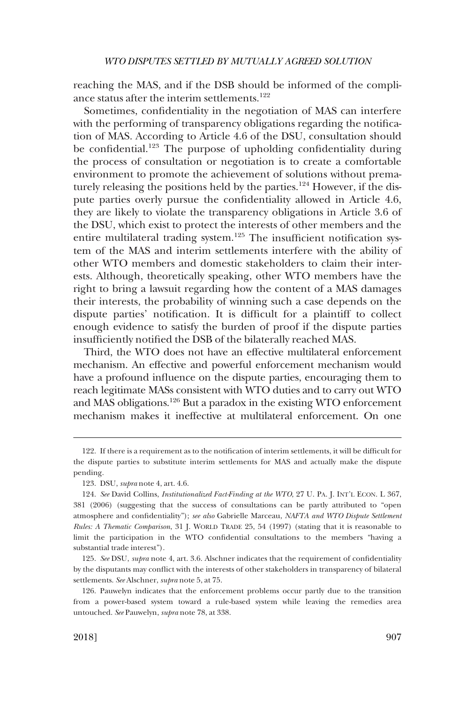reaching the MAS, and if the DSB should be informed of the compliance status after the interim settlements.<sup>122</sup>

Sometimes, confidentiality in the negotiation of MAS can interfere with the performing of transparency obligations regarding the notification of MAS. According to Article 4.6 of the DSU, consultation should be confidential.<sup>123</sup> The purpose of upholding confidentiality during the process of consultation or negotiation is to create a comfortable environment to promote the achievement of solutions without prematurely releasing the positions held by the parties.<sup>124</sup> However, if the dispute parties overly pursue the confidentiality allowed in Article 4.6, they are likely to violate the transparency obligations in Article 3.6 of the DSU, which exist to protect the interests of other members and the entire multilateral trading system.<sup>125</sup> The insufficient notification system of the MAS and interim settlements interfere with the ability of other WTO members and domestic stakeholders to claim their interests. Although, theoretically speaking, other WTO members have the right to bring a lawsuit regarding how the content of a MAS damages their interests, the probability of winning such a case depends on the dispute parties' notification. It is difficult for a plaintiff to collect enough evidence to satisfy the burden of proof if the dispute parties insufficiently notified the DSB of the bilaterally reached MAS.

Third, the WTO does not have an effective multilateral enforcement mechanism. An effective and powerful enforcement mechanism would have a profound influence on the dispute parties, encouraging them to reach legitimate MASs consistent with WTO duties and to carry out WTO and MAS obligations.126 But a paradox in the existing WTO enforcement mechanism makes it ineffective at multilateral enforcement. On one

<sup>122.</sup> If there is a requirement as to the notification of interim settlements, it will be difficult for the dispute parties to substitute interim settlements for MAS and actually make the dispute pending.

<sup>123.</sup> DSU, *supra* note 4, art. 4.6.

<sup>124.</sup> *See* David Collins, *Institutionalized Fact-Finding at the WTO*, 27 U. PA. J. INT'L ECON. L 367, 381 (2006) (suggesting that the success of consultations can be partly attributed to "open atmosphere and confidentiality"); *see also* Gabrielle Marceau, *NAFTA and WTO Dispute Settlement Rules: A Thematic Comparison*, 31 J. WORLD TRADE 25, 54 (1997) (stating that it is reasonable to limit the participation in the WTO confidential consultations to the members "having a substantial trade interest").

<sup>125.</sup> *See* DSU, *supra* note 4, art. 3.6. Alschner indicates that the requirement of confidentiality by the disputants may conflict with the interests of other stakeholders in transparency of bilateral settlements. *See* Alschner, *supra* note 5, at 75.

<sup>126.</sup> Pauwelyn indicates that the enforcement problems occur partly due to the transition from a power-based system toward a rule-based system while leaving the remedies area untouched. *See* Pauwelyn, *supra* note 78, at 338.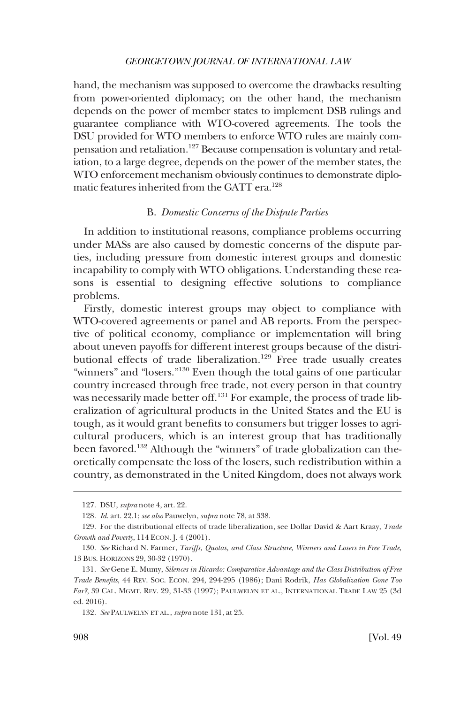<span id="page-21-0"></span>hand, the mechanism was supposed to overcome the drawbacks resulting from power-oriented diplomacy; on the other hand, the mechanism depends on the power of member states to implement DSB rulings and guarantee compliance with WTO-covered agreements. The tools the DSU provided for WTO members to enforce WTO rules are mainly compensation and retaliation.127 Because compensation is voluntary and retaliation, to a large degree, depends on the power of the member states, the WTO enforcement mechanism obviously continues to demonstrate diplomatic features inherited from the GATT era.128

# B. *Domestic Concerns of the Dispute Parties*

In addition to institutional reasons, compliance problems occurring under MASs are also caused by domestic concerns of the dispute parties, including pressure from domestic interest groups and domestic incapability to comply with WTO obligations. Understanding these reasons is essential to designing effective solutions to compliance problems.

Firstly, domestic interest groups may object to compliance with WTO-covered agreements or panel and AB reports. From the perspective of political economy, compliance or implementation will bring about uneven payoffs for different interest groups because of the distributional effects of trade liberalization.<sup>129</sup> Free trade usually creates "winners" and "losers."<sup>130</sup> Even though the total gains of one particular country increased through free trade, not every person in that country was necessarily made better off.<sup>131</sup> For example, the process of trade liberalization of agricultural products in the United States and the EU is tough, as it would grant benefits to consumers but trigger losses to agricultural producers, which is an interest group that has traditionally been favored.<sup>132</sup> Although the "winners" of trade globalization can theoretically compensate the loss of the losers, such redistribution within a country, as demonstrated in the United Kingdom, does not always work

<sup>127.</sup> DSU, *supra* note 4, art. 22.

<sup>128.</sup> *Id*. art. 22.1; *see also* Pauwelyn, *supra* note 78, at 338.

<sup>129.</sup> For the distributional effects of trade liberalization, see Dollar David & Aart Kraay, *Trade Growth and Poverty*, 114 ECON. J. 4 (2001).

<sup>130.</sup> *See* Richard N. Farmer, *Tariffs, Quotas, and Class Structure, Winners and Losers in Free Trade*, 13 BUS. HORIZONS 29, 30-32 (1970).

<sup>131.</sup> *See* Gene E. Mumy, *Silences in Ricardo: Comparative Advantage and the Class Distribution of Free Trade Benefits*, 44 REV. SOC. ECON. 294, 294-295 (1986); Dani Rodrik, *Has Globalization Gone Too Far?*, 39 CAL. MGMT. REV. 29, 31-33 (1997); PAULWELYN ET AL., INTERNATIONAL TRADE LAW 25 (3d ed. 2016).

<sup>132.</sup> *See* PAULWELYN ET AL., *supra* note 131, at 25.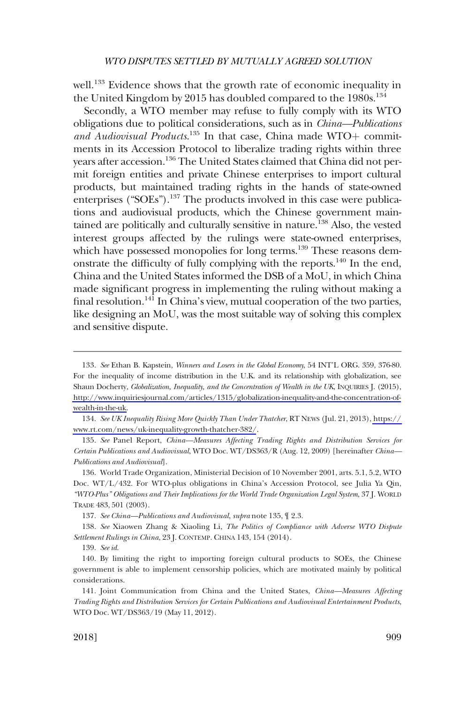well.<sup>133</sup> Evidence shows that the growth rate of economic inequality in the United Kingdom by 2015 has doubled compared to the  $1980s$ <sup>134</sup>

Secondly, a WTO member may refuse to fully comply with its WTO obligations due to political considerations, such as in *China—Publications*  and Audiovisual Products.<sup>135</sup> In that case, China made WTO+ commitments in its Accession Protocol to liberalize trading rights within three years after accession.<sup>136</sup> The United States claimed that China did not permit foreign entities and private Chinese enterprises to import cultural products, but maintained trading rights in the hands of state-owned enterprises (" $SOEs$ ").<sup>137</sup> The products involved in this case were publications and audiovisual products, which the Chinese government maintained are politically and culturally sensitive in nature.<sup>138</sup> Also, the vested interest groups affected by the rulings were state-owned enterprises, which have possessed monopolies for long terms.<sup>139</sup> These reasons demonstrate the difficulty of fully complying with the reports.<sup>140</sup> In the end, China and the United States informed the DSB of a MoU, in which China made significant progress in implementing the ruling without making a final resolution.<sup>141</sup> In China's view, mutual cooperation of the two parties, like designing an MoU, was the most suitable way of solving this complex and sensitive dispute.

136. World Trade Organization, Ministerial Decision of 10 November 2001, arts. 5.1, 5.2, WTO Doc. WT/L/432. For WTO-plus obligations in China's Accession Protocol, see Julia Ya Qin, *"WTO-Plus" Obligations and Their Implications for the World Trade Organization Legal System*, 37 J. WORLD TRADE 483, 501 (2003).

137. *See China—Publications and Audiovisual*, *supra* note 135, ¶ 2.3.

138. *See* Xiaowen Zhang & Xiaoling Li, *The Politics of Compliance with Adverse WTO Dispute Settlement Rulings in China*, 23 J. CONTEMP. CHINA 143, 154 (2014).

*See* Ethan B. Kapstein, *Winners and Losers in the Global Economy*, 54 INT'L ORG. 359, 376-80. 133. For the inequality of income distribution in the U.K. and its relationship with globalization, see Shaun Docherty, *Globalization, Inequality, and the Concentration of Wealth in the UK*, INQUIRIES J. (2015), [http://www.inquiriesjournal.com/articles/1315/globalization-inequality-and-the-concentration-of](http://www.inquiriesjournal.com/articles/1315/globalization-inequality-and-the-concentration-of-wealth-in-the-uk)[wealth-in-the-uk.](http://www.inquiriesjournal.com/articles/1315/globalization-inequality-and-the-concentration-of-wealth-in-the-uk)

*See UK Inequality Rising More Quickly Than Under Thatcher*, RT NEWS (Jul. 21, 2013), [https://](https://www.rt.com/news/uk-inequality-growth-thatcher-382/)  134. [www.rt.com/news/uk-inequality-growth-thatcher-382/](https://www.rt.com/news/uk-inequality-growth-thatcher-382/).

<sup>135.</sup> *See* Panel Report, *China—Measures Affecting Trading Rights and Distribution Services for Certain Publications and Audiovisual*, WTO Doc. WT/DS363/R (Aug. 12, 2009) [hereinafter *China— Publications and Audiovisual*].

<sup>139.</sup> *See id*.

<sup>140.</sup> By limiting the right to importing foreign cultural products to SOEs, the Chinese government is able to implement censorship policies, which are motivated mainly by political considerations.

<sup>141.</sup> Joint Communication from China and the United States, *China—Measures Affecting Trading Rights and Distribution Services for Certain Publications and Audiovisual Entertainment Products*, WTO Doc. WT/DS363/19 (May 11, 2012).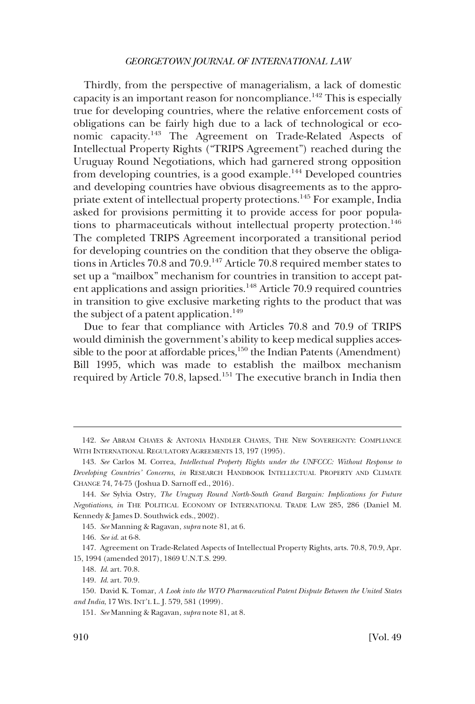Thirdly, from the perspective of managerialism, a lack of domestic capacity is an important reason for noncompliance.<sup>142</sup> This is especially true for developing countries, where the relative enforcement costs of obligations can be fairly high due to a lack of technological or economic capacity.143 The Agreement on Trade-Related Aspects of Intellectual Property Rights ("TRIPS Agreement") reached during the Uruguay Round Negotiations, which had garnered strong opposition from developing countries, is a good example.<sup>144</sup> Developed countries and developing countries have obvious disagreements as to the appropriate extent of intellectual property protections.145 For example, India asked for provisions permitting it to provide access for poor populations to pharmaceuticals without intellectual property protection.<sup>146</sup> The completed TRIPS Agreement incorporated a transitional period for developing countries on the condition that they observe the obligations in Articles 70.8 and 70.9.147 Article 70.8 required member states to set up a "mailbox" mechanism for countries in transition to accept patent applications and assign priorities.<sup>148</sup> Article 70.9 required countries in transition to give exclusive marketing rights to the product that was the subject of a patent application. $149$ 

Due to fear that compliance with Articles 70.8 and 70.9 of TRIPS would diminish the government's ability to keep medical supplies accessible to the poor at affordable prices, $150$  the Indian Patents (Amendment) Bill 1995, which was made to establish the mailbox mechanism required by Article 70.8, lapsed.151 The executive branch in India then

145. *See* Manning & Ragavan, *supra* note 81, at 6.

<sup>142.</sup> *See* ABRAM CHAYES & ANTONIA HANDLER CHAYES, THE NEW SOVEREIGNTY: COMPLIANCE WITH INTERNATIONAL REGULATORY AGREEMENTS 13, 197 (1995).

<sup>143.</sup> *See* Carlos M. Correa, *Intellectual Property Rights under the UNFCCC: Without Response to Developing Countries' Concerns*, *in* RESEARCH HANDBOOK INTELLECTUAL PROPERTY AND CLIMATE CHANGE 74, 74-75 (Joshua D. Sarnoff ed., 2016).

<sup>144.</sup> *See* Sylvia Ostry, *The Uruguay Round North-South Grand Bargain: Implications for Future Negotiations*, *in* THE POLITICAL ECONOMY OF INTERNATIONAL TRADE LAW 285, 286 (Daniel M. Kennedy & James D. Southwick eds., 2002).

<sup>146.</sup> *See id*. at 6-8.

<sup>147.</sup> Agreement on Trade-Related Aspects of Intellectual Property Rights, arts. 70.8, 70.9, Apr. 15, 1994 (amended 2017), 1869 U.N.T.S. 299.

<sup>148.</sup> *Id*. art. 70.8.

<sup>149.</sup> *Id*. art. 70.9.

<sup>150.</sup> David K. Tomar, *A Look into the WTO Pharmaceutical Patent Dispute Between the United States and India*, 17 WIS. INT'L L. J. 579, 581 (1999).

<sup>151.</sup> *See* Manning & Ragavan, *supra* note 81, at 8.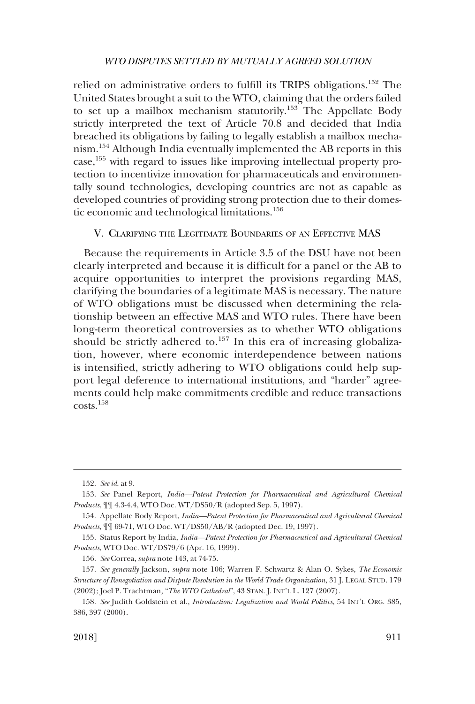<span id="page-24-0"></span>relied on administrative orders to fulfill its TRIPS obligations.152 The United States brought a suit to the WTO, claiming that the orders failed to set up a mailbox mechanism statutorily.153 The Appellate Body strictly interpreted the text of Article 70.8 and decided that India breached its obligations by failing to legally establish a mailbox mechanism.154 Although India eventually implemented the AB reports in this case,155 with regard to issues like improving intellectual property protection to incentivize innovation for pharmaceuticals and environmentally sound technologies, developing countries are not as capable as developed countries of providing strong protection due to their domestic economic and technological limitations.<sup>156</sup>

# V. CLARIFYING THE LEGITIMATE BOUNDARIES OF AN EFFECTIVE MAS

Because the requirements in Article 3.5 of the DSU have not been clearly interpreted and because it is difficult for a panel or the AB to acquire opportunities to interpret the provisions regarding MAS, clarifying the boundaries of a legitimate MAS is necessary. The nature of WTO obligations must be discussed when determining the relationship between an effective MAS and WTO rules. There have been long-term theoretical controversies as to whether WTO obligations should be strictly adhered to.<sup>157</sup> In this era of increasing globalization, however, where economic interdependence between nations is intensified, strictly adhering to WTO obligations could help support legal deference to international institutions, and "harder" agreements could help make commitments credible and reduce transactions costs.158

<sup>152.</sup> *See id*. at 9.

<sup>153.</sup> *See* Panel Report, *India—Patent Protection for Pharmaceutical and Agricultural Chemical Products*, ¶¶ 4.3-4.4, WTO Doc. WT/DS50/R (adopted Sep. 5, 1997).

<sup>154.</sup> Appellate Body Report, *India—Patent Protection for Pharmaceutical and Agricultural Chemical Products*, ¶¶ 69-71, WTO Doc. WT/DS50/AB/R (adopted Dec. 19, 1997).

<sup>155.</sup> Status Report by India, *India—Patent Protection for Pharmaceutical and Agricultural Chemical Products*, WTO Doc. WT/DS79/6 (Apr. 16, 1999).

<sup>156.</sup> *See* Correa, *supra* note 143, at 74-75.

<sup>157.</sup> *See generally* Jackson, *supra* note 106; Warren F. Schwartz & Alan O. Sykes, *The Economic Structure of Renegotiation and Dispute Resolution in the World Trade Organization*, 31 J. LEGAL STUD. 179 (2002); Joel P. Trachtman, "*The WTO Cathedral*", 43 STAN. J. INT'L L. 127 (2007).

<sup>158.</sup> *See* Judith Goldstein et al., *Introduction: Legalization and World Politics*, 54 INT'L ORG. 385, 386, 397 (2000).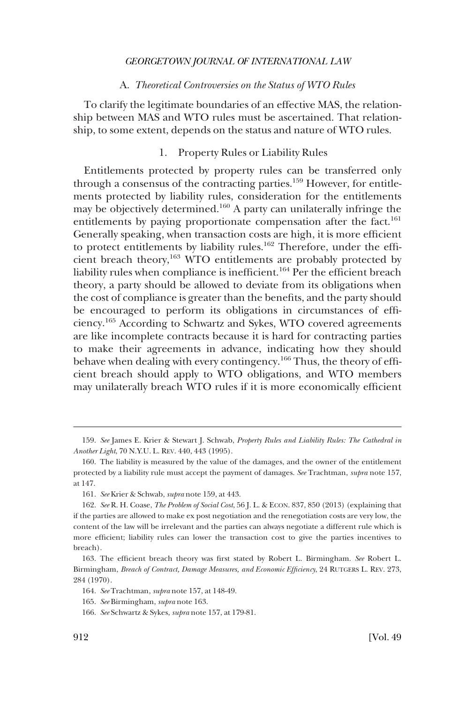# A. *Theoretical Controversies on the Status of WTO Rules*

<span id="page-25-0"></span>To clarify the legitimate boundaries of an effective MAS, the relationship between MAS and WTO rules must be ascertained. That relationship, to some extent, depends on the status and nature of WTO rules.

# 1. Property Rules or Liability Rules

Entitlements protected by property rules can be transferred only through a consensus of the contracting parties.159 However, for entitlements protected by liability rules, consideration for the entitlements may be objectively determined.160 A party can unilaterally infringe the entitlements by paying proportionate compensation after the fact.<sup>161</sup> Generally speaking, when transaction costs are high, it is more efficient to protect entitlements by liability rules.<sup>162</sup> Therefore, under the efficient breach theory,<sup>163</sup> WTO entitlements are probably protected by liability rules when compliance is inefficient.164 Per the efficient breach theory, a party should be allowed to deviate from its obligations when the cost of compliance is greater than the benefits, and the party should be encouraged to perform its obligations in circumstances of efficiency.165 According to Schwartz and Sykes, WTO covered agreements are like incomplete contracts because it is hard for contracting parties to make their agreements in advance, indicating how they should behave when dealing with every contingency.<sup>166</sup> Thus, the theory of efficient breach should apply to WTO obligations, and WTO members may unilaterally breach WTO rules if it is more economically efficient

<sup>159.</sup> *See* James E. Krier & Stewart J. Schwab, *Property Rules and Liability Rules: The Cathedral in Another Light*, 70 N.Y.U. L. REV. 440, 443 (1995).

<sup>160.</sup> The liability is measured by the value of the damages, and the owner of the entitlement protected by a liability rule must accept the payment of damages. *See* Trachtman, *supra* note 157, at 147.

<sup>161.</sup> *See* Krier & Schwab, *supra* note 159, at 443.

<sup>162.</sup> *See* R. H. Coase, *The Problem of Social Cost*, 56 J. L. & ECON. 837, 850 (2013) (explaining that if the parties are allowed to make ex post negotiation and the renegotiation costs are very low, the content of the law will be irrelevant and the parties can always negotiate a different rule which is more efficient; liability rules can lower the transaction cost to give the parties incentives to breach).

<sup>163.</sup> The efficient breach theory was first stated by Robert L. Birmingham. *See* Robert L. Birmingham, *Breach of Contract, Damage Measures, and Economic Efficiency*, 24 RUTGERS L. REV. 273, 284 (1970).

<sup>164.</sup> *See* Trachtman, *supra* note 157, at 148-49.

<sup>165.</sup> *See* Birmingham, *supra* note 163.

<sup>166.</sup> *See* Schwartz & Sykes, *supra* note 157, at 179-81.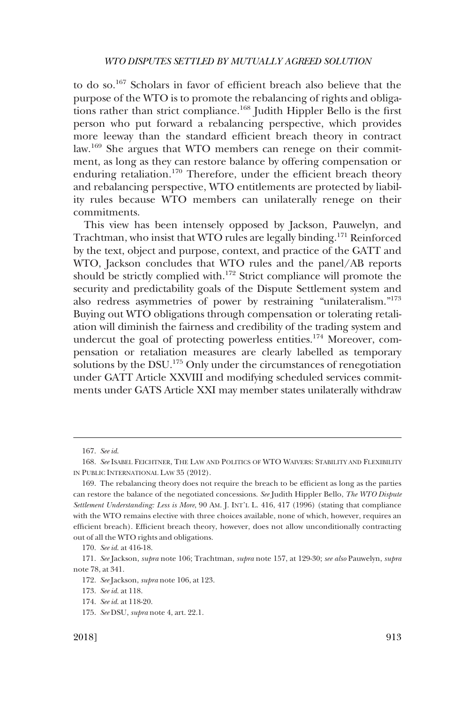to do so.167 Scholars in favor of efficient breach also believe that the purpose of the WTO is to promote the rebalancing of rights and obligations rather than strict compliance.<sup>168</sup> Judith Hippler Bello is the first person who put forward a rebalancing perspective, which provides more leeway than the standard efficient breach theory in contract law.169 She argues that WTO members can renege on their commitment, as long as they can restore balance by offering compensation or enduring retaliation.<sup>170</sup> Therefore, under the efficient breach theory and rebalancing perspective, WTO entitlements are protected by liability rules because WTO members can unilaterally renege on their commitments.

This view has been intensely opposed by Jackson, Pauwelyn, and Trachtman, who insist that WTO rules are legally binding.171 Reinforced by the text, object and purpose, context, and practice of the GATT and WTO, Jackson concludes that WTO rules and the panel/AB reports should be strictly complied with.<sup>172</sup> Strict compliance will promote the security and predictability goals of the Dispute Settlement system and also redress asymmetries of power by restraining "unilateralism."173 Buying out WTO obligations through compensation or tolerating retaliation will diminish the fairness and credibility of the trading system and undercut the goal of protecting powerless entities.<sup>174</sup> Moreover, compensation or retaliation measures are clearly labelled as temporary solutions by the DSU.<sup>175</sup> Only under the circumstances of renegotiation under GATT Article XXVIII and modifying scheduled services commitments under GATS Article XXI may member states unilaterally withdraw

<sup>167.</sup> *See id*.

<sup>168.</sup> *See* ISABEL FEICHTNER, THE LAW AND POLITICS OF WTO WAIVERS: STABILITY AND FLEXIBILITY IN PUBLIC INTERNATIONAL LAW 35 (2012).

<sup>169.</sup> The rebalancing theory does not require the breach to be efficient as long as the parties can restore the balance of the negotiated concessions. *See* Judith Hippler Bello, *The WTO Dispute Settlement Understanding: Less is More*, 90 AM. J. INT'L L. 416, 417 (1996) (stating that compliance with the WTO remains elective with three choices available, none of which, however, requires an efficient breach). Efficient breach theory, however, does not allow unconditionally contracting out of all the WTO rights and obligations.

<sup>170.</sup> *See id*. at 416-18.

<sup>171.</sup> *See* Jackson, *supra* note 106; Trachtman, *supra* note 157, at 129-30; *see also* Pauwelyn, *supra*  note 78, at 341.

<sup>172.</sup> *See* Jackson, *supra* note 106, at 123.

<sup>173.</sup> *See id*. at 118.

<sup>174.</sup> *See id*. at 118-20.

<sup>175.</sup> *See* DSU, *supra* note 4, art. 22.1.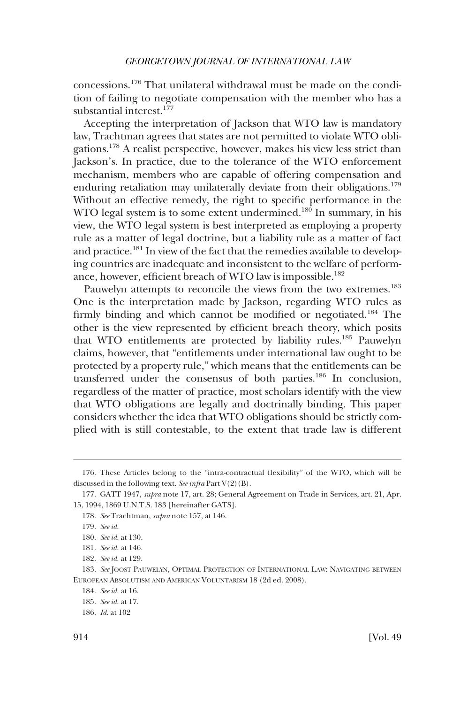concessions.176 That unilateral withdrawal must be made on the condition of failing to negotiate compensation with the member who has a substantial interest.<sup>177</sup>

Accepting the interpretation of Jackson that WTO law is mandatory law, Trachtman agrees that states are not permitted to violate WTO obligations.178 A realist perspective, however, makes his view less strict than Jackson's. In practice, due to the tolerance of the WTO enforcement mechanism, members who are capable of offering compensation and enduring retaliation may unilaterally deviate from their obligations.<sup>179</sup> Without an effective remedy, the right to specific performance in the WTO legal system is to some extent undermined.<sup>180</sup> In summary, in his view, the WTO legal system is best interpreted as employing a property rule as a matter of legal doctrine, but a liability rule as a matter of fact and practice.181 In view of the fact that the remedies available to developing countries are inadequate and inconsistent to the welfare of performance, however, efficient breach of WTO law is impossible.<sup>182</sup>

Pauwelyn attempts to reconcile the views from the two extremes.<sup>183</sup> One is the interpretation made by Jackson, regarding WTO rules as firmly binding and which cannot be modified or negotiated.<sup>184</sup> The other is the view represented by efficient breach theory, which posits that WTO entitlements are protected by liability rules.185 Pauwelyn claims, however, that "entitlements under international law ought to be protected by a property rule," which means that the entitlements can be transferred under the consensus of both parties.186 In conclusion, regardless of the matter of practice, most scholars identify with the view that WTO obligations are legally and doctrinally binding. This paper considers whether the idea that WTO obligations should be strictly complied with is still contestable, to the extent that trade law is different

<sup>176.</sup> These Articles belong to the "intra-contractual flexibility" of the WTO, which will be discussed in the following text. *See infra* Part V(2)(B).

<sup>177.</sup> GATT 1947, *supra* note 17, art. 28; General Agreement on Trade in Services, art. 21, Apr. 15, 1994, 1869 U.N.T.S. 183 [hereinafter GATS].

<sup>178.</sup> *See* Trachtman, *supra* note 157, at 146.

<sup>179.</sup> *See id*.

<sup>180.</sup> *See id*. at 130.

<sup>181.</sup> *See id*. at 146.

<sup>182.</sup> *See id*. at 129.

<sup>183.</sup> *See* JOOST PAUWELYN, OPTIMAL PROTECTION OF INTERNATIONAL LAW: NAVIGATING BETWEEN EUROPEAN ABSOLUTISM AND AMERICAN VOLUNTARISM 18 (2d ed. 2008).

<sup>184.</sup> *See id*. at 16.

<sup>185.</sup> *See id*. at 17.

<sup>186.</sup> *Id*. at 102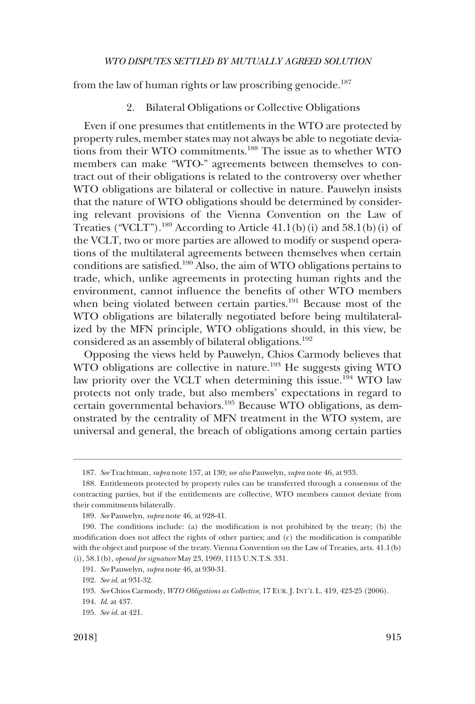<span id="page-28-0"></span>from the law of human rights or law proscribing genocide.<sup>187</sup>

2. Bilateral Obligations or Collective Obligations

Even if one presumes that entitlements in the WTO are protected by property rules, member states may not always be able to negotiate deviations from their WTO commitments.<sup>188</sup> The issue as to whether WTO members can make "WTO-" agreements between themselves to contract out of their obligations is related to the controversy over whether WTO obligations are bilateral or collective in nature. Pauwelyn insists that the nature of WTO obligations should be determined by considering relevant provisions of the Vienna Convention on the Law of Treaties ("VCLT").<sup>189</sup> According to Article  $41.1(b)(i)$  and  $58.1(b)(i)$  of the VCLT, two or more parties are allowed to modify or suspend operations of the multilateral agreements between themselves when certain conditions are satisfied.<sup>190</sup> Also, the aim of WTO obligations pertains to trade, which, unlike agreements in protecting human rights and the environment, cannot influence the benefits of other WTO members when being violated between certain parties.<sup>191</sup> Because most of the WTO obligations are bilaterally negotiated before being multilateralized by the MFN principle, WTO obligations should, in this view, be considered as an assembly of bilateral obligations.<sup>192</sup>

Opposing the views held by Pauwelyn, Chios Carmody believes that WTO obligations are collective in nature.<sup>193</sup> He suggests giving WTO law priority over the VCLT when determining this issue.<sup>194</sup> WTO law protects not only trade, but also members' expectations in regard to certain governmental behaviors.195 Because WTO obligations, as demonstrated by the centrality of MFN treatment in the WTO system, are universal and general, the breach of obligations among certain parties

<sup>187.</sup> *See* Trachtman, *supra* note 157, at 130; *see also* Pauwelyn, *supra* note 46, at 933.

<sup>188.</sup> Entitlements protected by property rules can be transferred through a consensus of the contracting parties, but if the entitlements are collective, WTO members cannot deviate from their commitments bilaterally.

<sup>189.</sup> *See* Pauwelyn, *supra* note 46, at 928-41.

<sup>190.</sup> The conditions include: (a) the modification is not prohibited by the treaty; (b) the modification does not affect the rights of other parties; and (c) the modification is compatible with the object and purpose of the treaty. Vienna Convention on the Law of Treaties, arts. 41.1(b) (i), 58.1(b), *opened for signature* May 23, 1969, 1115 U.N.T.S. 331.

<sup>191.</sup> *See* Pauwelyn, *supra* note 46, at 930-31.

<sup>192.</sup> *See id*. at 931-32.

<sup>193.</sup> *See* Chios Carmody, *WTO Obligations as Collective*, 17 EUR. J. INT'L L. 419, 423-25 (2006).

<sup>194.</sup> *Id*. at 437.

<sup>195.</sup> *See id*. at 421.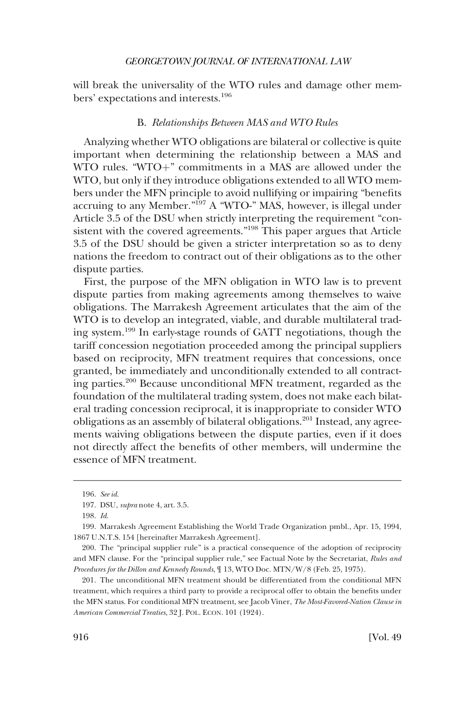<span id="page-29-0"></span>will break the universality of the WTO rules and damage other members' expectations and interests.<sup>196</sup>

# B. *Relationships Between MAS and WTO Rules*

Analyzing whether WTO obligations are bilateral or collective is quite important when determining the relationship between a MAS and WTO rules. " $WTO +$ " commitments in a MAS are allowed under the WTO, but only if they introduce obligations extended to all WTO members under the MFN principle to avoid nullifying or impairing "benefits accruing to any Member."197 A "WTO-" MAS, however, is illegal under Article 3.5 of the DSU when strictly interpreting the requirement "consistent with the covered agreements."<sup>198</sup> This paper argues that Article 3.5 of the DSU should be given a stricter interpretation so as to deny nations the freedom to contract out of their obligations as to the other dispute parties.

First, the purpose of the MFN obligation in WTO law is to prevent dispute parties from making agreements among themselves to waive obligations. The Marrakesh Agreement articulates that the aim of the WTO is to develop an integrated, viable, and durable multilateral trading system.199 In early-stage rounds of GATT negotiations, though the tariff concession negotiation proceeded among the principal suppliers based on reciprocity, MFN treatment requires that concessions, once granted, be immediately and unconditionally extended to all contracting parties.200 Because unconditional MFN treatment, regarded as the foundation of the multilateral trading system, does not make each bilateral trading concession reciprocal, it is inappropriate to consider WTO obligations as an assembly of bilateral obligations.<sup>201</sup> Instead, any agreements waiving obligations between the dispute parties, even if it does not directly affect the benefits of other members, will undermine the essence of MFN treatment.

<sup>196.</sup> *See id*.

<sup>197.</sup> DSU, *supra* note 4, art. 3.5.

<sup>198.</sup> *Id*.

<sup>199.</sup> Marrakesh Agreement Establishing the World Trade Organization pmbl., Apr. 15, 1994, 1867 U.N.T.S. 154 [hereinafter Marrakesh Agreement].

<sup>200.</sup> The "principal supplier rule" is a practical consequence of the adoption of reciprocity and MFN clause. For the "principal supplier rule," see Factual Note by the Secretariat, *Rules and Procedures for the Dillon and Kennedy Rounds*, ¶ 13, WTO Doc. MTN/W/8 (Feb. 25, 1975).

<sup>201.</sup> The unconditional MFN treatment should be differentiated from the conditional MFN treatment, which requires a third party to provide a reciprocal offer to obtain the benefits under the MFN status. For conditional MFN treatment, see Jacob Viner, *The Most-Favored-Nation Clause in American Commercial Treaties*, 32 J. POL. ECON. 101 (1924).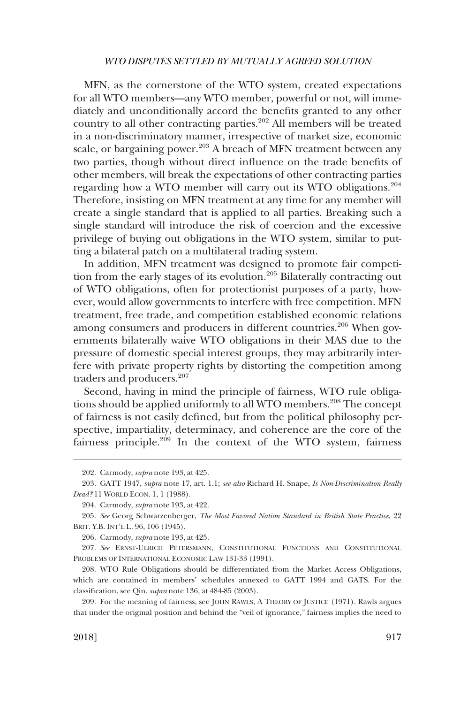MFN, as the cornerstone of the WTO system, created expectations for all WTO members—any WTO member, powerful or not, will immediately and unconditionally accord the benefits granted to any other country to all other contracting parties.202 All members will be treated in a non-discriminatory manner, irrespective of market size, economic scale, or bargaining power.<sup>203</sup> A breach of MFN treatment between any two parties, though without direct influence on the trade benefits of other members, will break the expectations of other contracting parties regarding how a WTO member will carry out its WTO obligations.<sup>204</sup> Therefore, insisting on MFN treatment at any time for any member will create a single standard that is applied to all parties. Breaking such a single standard will introduce the risk of coercion and the excessive privilege of buying out obligations in the WTO system, similar to putting a bilateral patch on a multilateral trading system.

In addition, MFN treatment was designed to promote fair competition from the early stages of its evolution.<sup>205</sup> Bilaterally contracting out of WTO obligations, often for protectionist purposes of a party, however, would allow governments to interfere with free competition. MFN treatment, free trade, and competition established economic relations among consumers and producers in different countries.<sup>206</sup> When governments bilaterally waive WTO obligations in their MAS due to the pressure of domestic special interest groups, they may arbitrarily interfere with private property rights by distorting the competition among traders and producers.<sup>207</sup>

Second, having in mind the principle of fairness, WTO rule obligations should be applied uniformly to all WTO members.<sup>208</sup> The concept of fairness is not easily defined, but from the political philosophy perspective, impartiality, determinacy, and coherence are the core of the fairness principle.209 In the context of the WTO system, fairness

<sup>202.</sup> Carmody, *supra* note 193, at 425.

<sup>203.</sup> GATT 1947, *supra* note 17, art. 1.1; *see also* Richard H. Snape, *Is Non-Discrimination Really Dead?* 11 WORLD ECON. 1, 1 (1988).

<sup>204.</sup> Carmody, *supra* note 193, at 422.

<sup>205.</sup> *See* Georg Schwarzenberger, *The Most Favored Nation Standard in British State Practice*, 22 BRIT. Y.B. INT'L L. 96, 106 (1945).

<sup>206.</sup> Carmody, *supra* note 193, at 425.

<sup>207.</sup> *See* ERNST-ULRICH PETERSMANN, CONSTITUTIONAL FUNCTIONS AND CONSTITUTIONAL PROBLEMS OF INTERNATIONAL ECONOMIC LAW 131-33 (1991).

<sup>208.</sup> WTO Rule Obligations should be differentiated from the Market Access Obligations, which are contained in members' schedules annexed to GATT 1994 and GATS. For the classification, see Qin, *supra* note 136, at 484-85 (2003).

<sup>209.</sup> For the meaning of fairness, see JOHN RAWLS, A THEORY OF JUSTICE (1971). Rawls argues that under the original position and behind the "veil of ignorance," fairness implies the need to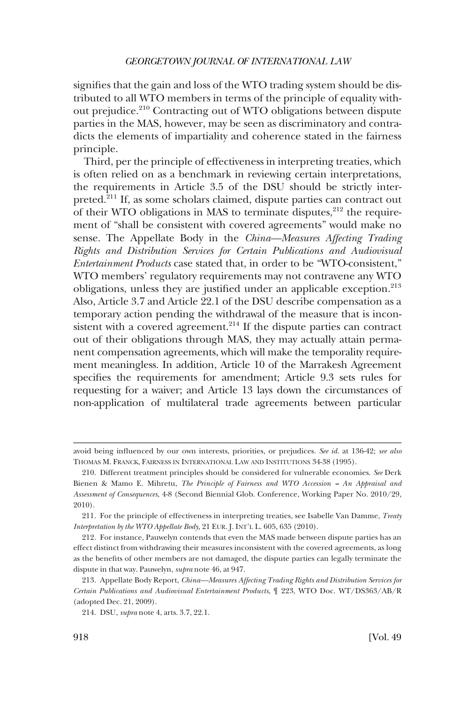signifies that the gain and loss of the WTO trading system should be distributed to all WTO members in terms of the principle of equality without prejudice.<sup>210</sup> Contracting out of WTO obligations between dispute parties in the MAS, however, may be seen as discriminatory and contradicts the elements of impartiality and coherence stated in the fairness principle.

Third, per the principle of effectiveness in interpreting treaties, which is often relied on as a benchmark in reviewing certain interpretations, the requirements in Article 3.5 of the DSU should be strictly interpreted.211 If, as some scholars claimed, dispute parties can contract out of their WTO obligations in MAS to terminate disputes, $^{212}$  the requirement of "shall be consistent with covered agreements" would make no sense. The Appellate Body in the *China—Measures Affecting Trading Rights and Distribution Services for Certain Publications and Audiovisual Entertainment Products* case stated that, in order to be "WTO-consistent," WTO members' regulatory requirements may not contravene any WTO obligations, unless they are justified under an applicable exception.<sup>213</sup> Also, Article 3.7 and Article 22.1 of the DSU describe compensation as a temporary action pending the withdrawal of the measure that is inconsistent with a covered agreement.<sup>214</sup> If the dispute parties can contract out of their obligations through MAS, they may actually attain permanent compensation agreements, which will make the temporality requirement meaningless. In addition, Article 10 of the Marrakesh Agreement specifies the requirements for amendment; Article 9.3 sets rules for requesting for a waiver; and Article 13 lays down the circumstances of non-application of multilateral trade agreements between particular

avoid being influenced by our own interests, priorities, or prejudices. *See id*. at 136-42; *see also*  THOMAS M. FRANCK, FAIRNESS IN INTERNATIONAL LAW AND INSTITUTIONS 34-38 (1995).

<sup>210.</sup> Different treatment principles should be considered for vulnerable economies. *See* Derk Bienen & Mamo E. Mihretu, *The Principle of Fairness and WTO Accession = An Appraisal and Assessment of Consequences*, 4-8 (Second Biennial Glob. Conference, Working Paper No. 2010/29, 2010).

<sup>211.</sup> For the principle of effectiveness in interpreting treaties, see Isabelle Van Damme, *Treaty Interpretation by the WTO Appellate Body*, 21 EUR. J. INT'L L. 605, 635 (2010).

<sup>212.</sup> For instance, Pauwelyn contends that even the MAS made between dispute parties has an effect distinct from withdrawing their measures inconsistent with the covered agreements, as long as the benefits of other members are not damaged, the dispute parties can legally terminate the dispute in that way. Pauwelyn, *supra* note 46, at 947.

<sup>213.</sup> Appellate Body Report, *China—Measures Affecting Trading Rights and Distribution Services for Certain Publications and Audiovisual Entertainment Products*, ¶ 223, WTO Doc. WT/DS363/AB/R (adopted Dec. 21, 2009).

<sup>214.</sup> DSU, *supra* note 4, arts. 3.7, 22.1.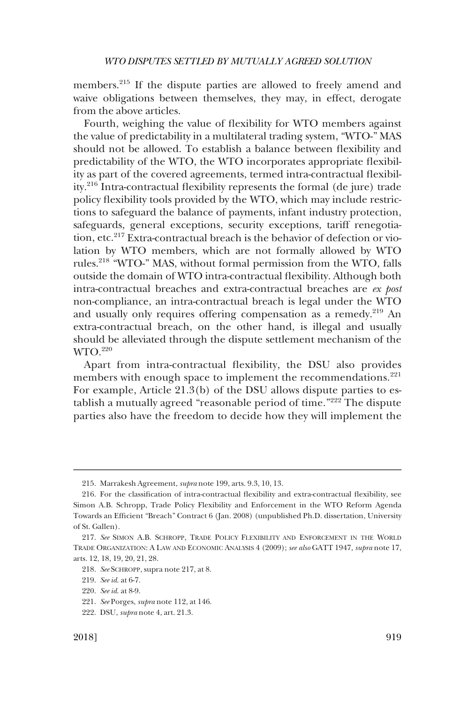members.<sup>215</sup> If the dispute parties are allowed to freely amend and waive obligations between themselves, they may, in effect, derogate from the above articles.

Fourth, weighing the value of flexibility for WTO members against the value of predictability in a multilateral trading system, "WTO-" MAS should not be allowed. To establish a balance between flexibility and predictability of the WTO, the WTO incorporates appropriate flexibility as part of the covered agreements, termed intra-contractual flexibility.216 Intra-contractual flexibility represents the formal (de jure) trade policy flexibility tools provided by the WTO, which may include restrictions to safeguard the balance of payments, infant industry protection, safeguards, general exceptions, security exceptions, tariff renegotiation, etc.<sup>217</sup> Extra-contractual breach is the behavior of defection or violation by WTO members, which are not formally allowed by WTO rules.218 "WTO-" MAS, without formal permission from the WTO, falls outside the domain of WTO intra-contractual flexibility. Although both intra-contractual breaches and extra-contractual breaches are *ex post*  non-compliance, an intra-contractual breach is legal under the WTO and usually only requires offering compensation as a remedy.<sup>219</sup> An extra-contractual breach, on the other hand, is illegal and usually should be alleviated through the dispute settlement mechanism of the WTO.220

Apart from intra-contractual flexibility, the DSU also provides members with enough space to implement the recommendations.<sup>221</sup> For example, Article 21.3(b) of the DSU allows dispute parties to establish a mutually agreed "reasonable period of time."222 The dispute parties also have the freedom to decide how they will implement the

<sup>215.</sup> Marrakesh Agreement, *supra* note 199, arts. 9.3, 10, 13.

<sup>216.</sup> For the classification of intra-contractual flexibility and extra-contractual flexibility, see Simon A.B. Schropp, Trade Policy Flexibility and Enforcement in the WTO Reform Agenda Towards an Efficient "Breach" Contract 6 (Jan. 2008) (unpublished Ph.D. dissertation, University of St. Gallen).

<sup>217.</sup> *See* SIMON A.B. SCHROPP, TRADE POLICY FLEXIBILITY AND ENFORCEMENT IN THE WORLD TRADE ORGANIZATION: A LAW AND ECONOMIC ANALYSIS 4 (2009); *see also* GATT 1947, *supra* note 17, arts. 12, 18, 19, 20, 21, 28.

<sup>218.</sup> *See* SCHROPP, supra note 217, at 8.

<sup>219.</sup> *See id*. at 6-7.

<sup>220.</sup> *See id*. at 8-9.

<sup>221.</sup> *See* Porges, *supra* note 112, at 146.

<sup>222.</sup> DSU, *supra* note 4, art. 21.3.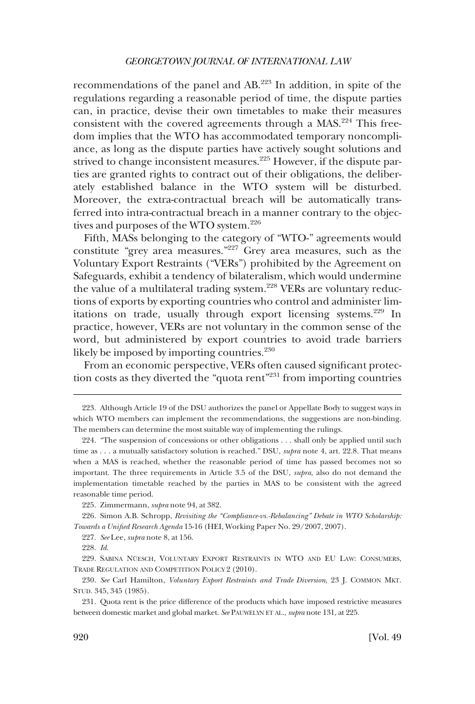recommendations of the panel and AB.223 In addition, in spite of the regulations regarding a reasonable period of time, the dispute parties can, in practice, devise their own timetables to make their measures consistent with the covered agreements through a MAS.<sup>224</sup> This freedom implies that the WTO has accommodated temporary noncompliance, as long as the dispute parties have actively sought solutions and strived to change inconsistent measures.<sup>225</sup> However, if the dispute parties are granted rights to contract out of their obligations, the deliberately established balance in the WTO system will be disturbed. Moreover, the extra-contractual breach will be automatically transferred into intra-contractual breach in a manner contrary to the objectives and purposes of the WTO system.<sup>226</sup>

Fifth, MASs belonging to the category of "WTO-" agreements would constitute "grey area measures."<sup>227</sup> Grey area measures, such as the Voluntary Export Restraints ("VERs") prohibited by the Agreement on Safeguards, exhibit a tendency of bilateralism, which would undermine the value of a multilateral trading system.<sup>228</sup> VERs are voluntary reductions of exports by exporting countries who control and administer limitations on trade, usually through export licensing systems.<sup>229</sup> In practice, however, VERs are not voluntary in the common sense of the word, but administered by export countries to avoid trade barriers likely be imposed by importing countries.<sup>230</sup>

From an economic perspective, VERs often caused significant protection costs as they diverted the "quota rent"231 from importing countries

<sup>223.</sup> Although Article 19 of the DSU authorizes the panel or Appellate Body to suggest ways in which WTO members can implement the recommendations, the suggestions are non-binding. The members can determine the most suitable way of implementing the rulings.

<sup>224. &</sup>quot;The suspension of concessions or other obligations . . . shall only be applied until such time as . . . a mutually satisfactory solution is reached." DSU, *supra* note 4, art. 22.8. That means when a MAS is reached, whether the reasonable period of time has passed becomes not so important. The three requirements in Article 3.5 of the DSU, *supra*, also do not demand the implementation timetable reached by the parties in MAS to be consistent with the agreed reasonable time period.

<sup>225.</sup> Zimmermann, *supra* note 94, at 382.

<sup>226.</sup> Simon A.B. Schropp, *Revisiting the "Compliance-vs.-Rebalancing" Debate in WTO Scholarship: Towards a Unified Research Agenda* 15-16 (HEI, Working Paper No. 29/2007, 2007).

<sup>227.</sup> *See* Lee, *supra* note 8, at 156.

<sup>228.</sup> *Id*.

<sup>229.</sup> SABINA NÜESCH, VOLUNTARY EXPORT RESTRAINTS IN WTO AND EU LAW: CONSUMERS, TRADE REGULATION AND COMPETITION POLICY 2 (2010).

<sup>230.</sup> *See* Carl Hamilton, *Voluntary Export Restraints and Trade Diversion*, 23 J. COMMON MKT. STUD. 345, 345 (1985).

<sup>231.</sup> Quota rent is the price difference of the products which have imposed restrictive measures between domestic market and global market. *See* PAUWELYN ET AL., *supra* note 131, at 225.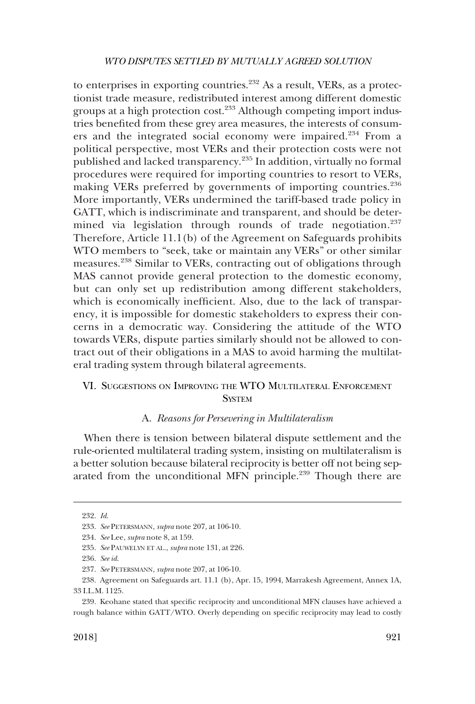<span id="page-34-0"></span>to enterprises in exporting countries. $^{232}$  As a result, VERs, as a protectionist trade measure, redistributed interest among different domestic groups at a high protection cost.<sup>233</sup> Although competing import industries benefited from these grey area measures, the interests of consumers and the integrated social economy were impaired.234 From a political perspective, most VERs and their protection costs were not published and lacked transparency.235 In addition, virtually no formal procedures were required for importing countries to resort to VERs, making VERs preferred by governments of importing countries.<sup>236</sup> More importantly, VERs undermined the tariff-based trade policy in GATT, which is indiscriminate and transparent, and should be determined via legislation through rounds of trade negotiation.<sup>237</sup> Therefore, Article 11.1(b) of the Agreement on Safeguards prohibits WTO members to "seek, take or maintain any VERs" or other similar measures.238 Similar to VERs, contracting out of obligations through MAS cannot provide general protection to the domestic economy, but can only set up redistribution among different stakeholders, which is economically inefficient. Also, due to the lack of transparency, it is impossible for domestic stakeholders to express their concerns in a democratic way. Considering the attitude of the WTO towards VERs, dispute parties similarly should not be allowed to contract out of their obligations in a MAS to avoid harming the multilateral trading system through bilateral agreements.

# VI. SUGGESTIONS ON IMPROVING THE WTO MULTILATERAL ENFORCEMENT **SYSTEM**

# A. *Reasons for Persevering in Multilateralism*

When there is tension between bilateral dispute settlement and the rule-oriented multilateral trading system, insisting on multilateralism is a better solution because bilateral reciprocity is better off not being separated from the unconditional MFN principle.<sup>239</sup> Though there are

<sup>232.</sup> *Id*.

<sup>233.</sup> *See* PETERSMANN, *supra* note 207, at 106-10.

<sup>234.</sup> *See* Lee, *supra* note 8, at 159.

<sup>235.</sup> *See* PAUWELYN ET AL., *supra* note 131, at 226.

<sup>236.</sup> *See id*.

<sup>237.</sup> *See* PETERSMANN, *supra* note 207, at 106-10.

<sup>238.</sup> Agreement on Safeguards art. 11.1 (b), Apr. 15, 1994, Marrakesh Agreement, Annex 1A, 33 I.L.M. 1125.

<sup>239.</sup> Keohane stated that specific reciprocity and unconditional MFN clauses have achieved a rough balance within GATT/WTO. Overly depending on specific reciprocity may lead to costly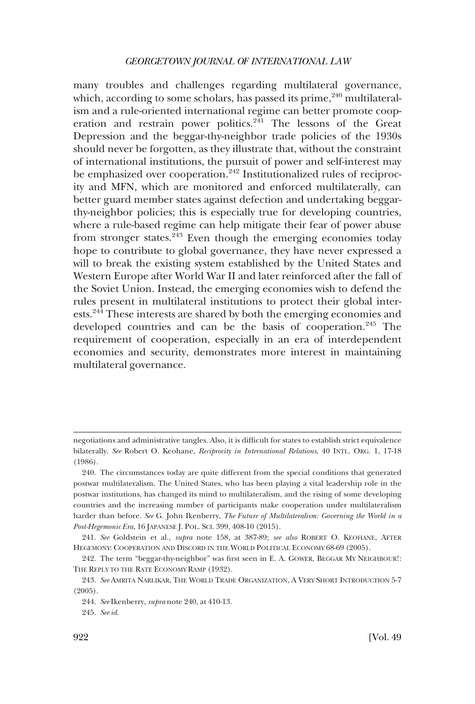many troubles and challenges regarding multilateral governance, which, according to some scholars, has passed its prime,  $240$  multilateralism and a rule-oriented international regime can better promote cooperation and restrain power politics. $2\overline{41}$  The lessons of the Great Depression and the beggar-thy-neighbor trade policies of the 1930s should never be forgotten, as they illustrate that, without the constraint of international institutions, the pursuit of power and self-interest may be emphasized over cooperation.<sup>242</sup> Institutionalized rules of reciprocity and MFN, which are monitored and enforced multilaterally, can better guard member states against defection and undertaking beggarthy-neighbor policies; this is especially true for developing countries, where a rule-based regime can help mitigate their fear of power abuse from stronger states. $243$  Even though the emerging economies today hope to contribute to global governance, they have never expressed a will to break the existing system established by the United States and Western Europe after World War II and later reinforced after the fall of the Soviet Union. Instead, the emerging economies wish to defend the rules present in multilateral institutions to protect their global interests.<sup>244</sup> These interests are shared by both the emerging economies and developed countries and can be the basis of cooperation.<sup>245</sup> The requirement of cooperation, especially in an era of interdependent economies and security, demonstrates more interest in maintaining multilateral governance.

negotiations and administrative tangles. Also, it is difficult for states to establish strict equivalence bilaterally. *See* Robert O. Keohane, *Reciprocity in International Relations*, 40 INTL. ORG. 1, 17-18 (1986).

<sup>240.</sup> The circumstances today are quite different from the special conditions that generated postwar multilateralism. The United States, who has been playing a vital leadership role in the postwar institutions, has changed its mind to multilateralism, and the rising of some developing countries and the increasing number of participants make cooperation under multilateralism harder than before. *See* G. John Ikenberry, *The Future of Multilateralism: Governing the World in a Post-Hegemonic Era*, 16 JAPANESE J. POL. SCI. 399, 408-10 (2015).

<sup>241.</sup> *See* Goldstein et al., *supra* note 158, at 387-89; *see also* ROBERT O. KEOHANE, AFTER HEGEMONY: COOPERATION AND DISCORD IN THE WORLD POLITICAL ECONOMY 68-69 (2005).

<sup>242.</sup> The term "beggar-thy-neighbor" was first seen in E. A. GOWER, BEGGAR MY NEIGHBOUR!: THE REPLY TO THE RATE ECONOMY RAMP (1932).

<sup>243.</sup> *See* AMRITA NARLIKAR, THE WORLD TRADE ORGANIZATION, A VERY SHORT INTRODUCTION 5-7 (2005).

<sup>244.</sup> *See* Ikenberry, *supra* note 240, at 410-13.

<sup>245.</sup> *See id*.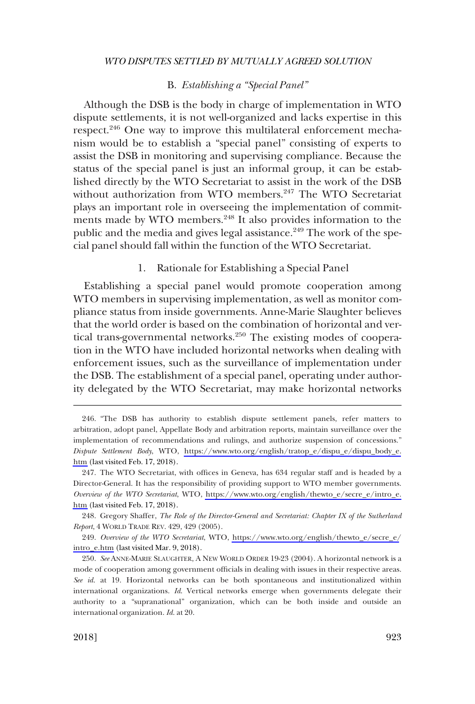# B. *Establishing a "Special Panel"*

<span id="page-36-0"></span>Although the DSB is the body in charge of implementation in WTO dispute settlements, it is not well-organized and lacks expertise in this respect.<sup>246</sup> One way to improve this multilateral enforcement mechanism would be to establish a "special panel" consisting of experts to assist the DSB in monitoring and supervising compliance. Because the status of the special panel is just an informal group, it can be established directly by the WTO Secretariat to assist in the work of the DSB without authorization from WTO members.<sup>247</sup> The WTO Secretariat plays an important role in overseeing the implementation of commitments made by WTO members.<sup>248</sup> It also provides information to the public and the media and gives legal assistance.<sup>249</sup> The work of the special panel should fall within the function of the WTO Secretariat.

# 1. Rationale for Establishing a Special Panel

Establishing a special panel would promote cooperation among WTO members in supervising implementation, as well as monitor compliance status from inside governments. Anne-Marie Slaughter believes that the world order is based on the combination of horizontal and vertical trans-governmental networks.<sup>250</sup> The existing modes of cooperation in the WTO have included horizontal networks when dealing with enforcement issues, such as the surveillance of implementation under the DSB. The establishment of a special panel, operating under authority delegated by the WTO Secretariat, may make horizontal networks

<sup>246. &</sup>quot;The DSB has authority to establish dispute settlement panels, refer matters to arbitration, adopt panel, Appellate Body and arbitration reports, maintain surveillance over the implementation of recommendations and rulings, and authorize suspension of concessions." *Dispute Settlement Body*, WTO, [https://www.wto.org/english/tratop\\_e/dispu\\_e/dispu\\_body\\_e.](https://www.wto.org/english/tratop_e/dispu_e/dispu_body_e.htm) [htm](https://www.wto.org/english/tratop_e/dispu_e/dispu_body_e.htm) (last visited Feb. 17, 2018).

<sup>247.</sup> The WTO Secretariat, with offices in Geneva, has 634 regular staff and is headed by a Director-General. It has the responsibility of providing support to WTO member governments. *Overview of the WTO Secretariat*, WTO, [https://www.wto.org/english/thewto\\_e/secre\\_e/intro\\_e.](https://www.wto.org/english/thewto_e/secre_e/intro_e.htm) [htm](https://www.wto.org/english/thewto_e/secre_e/intro_e.htm) (last visited Feb. 17, 2018).

<sup>248.</sup> Gregory Shaffer, *The Role of the Director-General and Secretariat: Chapter IX of the Sutherland Report*, 4 WORLD TRADE REV. 429, 429 (2005).

<sup>249.</sup> Overview of the WTO Secretariat, WTO, [https://www.wto.org/english/thewto\\_e/secre\\_e/](https://www.wto.org/english/thewto_e/secre_e/intro_e.htm) [intro\\_e.htm](https://www.wto.org/english/thewto_e/secre_e/intro_e.htm) (last visited Mar. 9, 2018).

<sup>250.</sup> *See* ANNE-MARIE SLAUGHTER, A NEW WORLD ORDER 19-23 (2004). A horizontal network is a mode of cooperation among government officials in dealing with issues in their respective areas. *See id*. at 19. Horizontal networks can be both spontaneous and institutionalized within international organizations. *Id*. Vertical networks emerge when governments delegate their authority to a "supranational" organization, which can be both inside and outside an international organization. *Id*. at 20.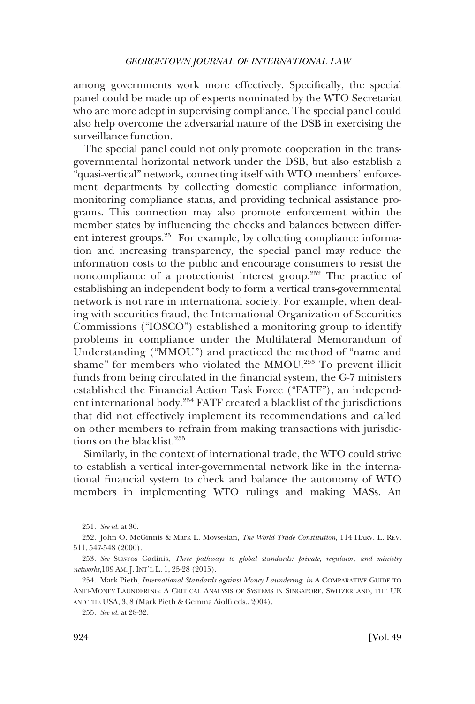among governments work more effectively. Specifically, the special panel could be made up of experts nominated by the WTO Secretariat who are more adept in supervising compliance. The special panel could also help overcome the adversarial nature of the DSB in exercising the surveillance function.

The special panel could not only promote cooperation in the transgovernmental horizontal network under the DSB, but also establish a "quasi-vertical" network, connecting itself with WTO members' enforcement departments by collecting domestic compliance information, monitoring compliance status, and providing technical assistance programs. This connection may also promote enforcement within the member states by influencing the checks and balances between different interest groups.<sup>251</sup> For example, by collecting compliance information and increasing transparency, the special panel may reduce the information costs to the public and encourage consumers to resist the noncompliance of a protectionist interest group.252 The practice of establishing an independent body to form a vertical trans-governmental network is not rare in international society. For example, when dealing with securities fraud, the International Organization of Securities Commissions ("IOSCO") established a monitoring group to identify problems in compliance under the Multilateral Memorandum of Understanding ("MMOU") and practiced the method of "name and shame" for members who violated the MMOU.<sup>253</sup> To prevent illicit funds from being circulated in the financial system, the G-7 ministers established the Financial Action Task Force ("FATF"), an independent international body.254 FATF created a blacklist of the jurisdictions that did not effectively implement its recommendations and called on other members to refrain from making transactions with jurisdictions on the blacklist.<sup>255</sup>

Similarly, in the context of international trade, the WTO could strive to establish a vertical inter-governmental network like in the international financial system to check and balance the autonomy of WTO members in implementing WTO rulings and making MASs. An

<sup>251.</sup> *See id*. at 30.

<sup>252.</sup> John O. McGinnis & Mark L. Movsesian, *The World Trade Constitution*, 114 HARV. L. REV. 511, 547-548 (2000).

<sup>253.</sup> *See* Stavros Gadinis, *Three pathways to global standards: private, regulator, and ministry networks*,109 AM. J. INT'L L. 1, 25-28 (2015).

<sup>254.</sup> Mark Pieth, *International Standards against Money Laundering*, *in* A COMPARATIVE GUIDE TO ANTI-MONEY LAUNDERING: A CRITICAL ANALYSIS OF SYSTEMS IN SINGAPORE, SWITZERLAND, THE UK AND THE USA, 3, 8 (Mark Pieth & Gemma Aiolfi eds., 2004).

<sup>255.</sup> *See id*. at 28-32.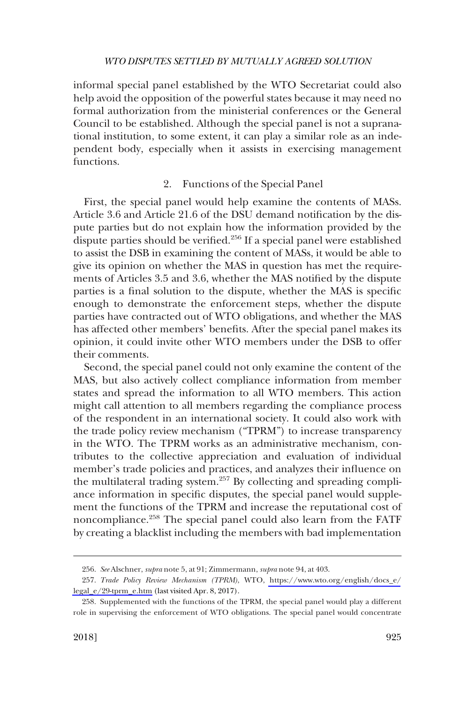<span id="page-38-0"></span>informal special panel established by the WTO Secretariat could also help avoid the opposition of the powerful states because it may need no formal authorization from the ministerial conferences or the General Council to be established. Although the special panel is not a supranational institution, to some extent, it can play a similar role as an independent body, especially when it assists in exercising management functions.

# 2. Functions of the Special Panel

First, the special panel would help examine the contents of MASs. Article 3.6 and Article 21.6 of the DSU demand notification by the dispute parties but do not explain how the information provided by the dispute parties should be verified.<sup>256</sup> If a special panel were established to assist the DSB in examining the content of MASs, it would be able to give its opinion on whether the MAS in question has met the requirements of Articles 3.5 and 3.6, whether the MAS notified by the dispute parties is a final solution to the dispute, whether the MAS is specific enough to demonstrate the enforcement steps, whether the dispute parties have contracted out of WTO obligations, and whether the MAS has affected other members' benefits. After the special panel makes its opinion, it could invite other WTO members under the DSB to offer their comments.

Second, the special panel could not only examine the content of the MAS, but also actively collect compliance information from member states and spread the information to all WTO members. This action might call attention to all members regarding the compliance process of the respondent in an international society. It could also work with the trade policy review mechanism ("TPRM") to increase transparency in the WTO. The TPRM works as an administrative mechanism, contributes to the collective appreciation and evaluation of individual member's trade policies and practices, and analyzes their influence on the multilateral trading system.<sup>257</sup> By collecting and spreading compliance information in specific disputes, the special panel would supplement the functions of the TPRM and increase the reputational cost of noncompliance.258 The special panel could also learn from the FATF by creating a blacklist including the members with bad implementation

<sup>256.</sup> *See* Alschner, *supra* note 5, at 91; Zimmermann, *supra* note 94, at 403.

*Trade Policy Review Mechanism (TPRM)*, WTO, [https://www.wto.org/english/docs\\_e/](https://www.wto.org/english/docs_e/legal_e/29-tprm_e.htm) 257. [legal\\_e/29-tprm\\_e.htm](https://www.wto.org/english/docs_e/legal_e/29-tprm_e.htm) (last visited Apr. 8, 2017).

<sup>258.</sup> Supplemented with the functions of the TPRM, the special panel would play a different role in supervising the enforcement of WTO obligations. The special panel would concentrate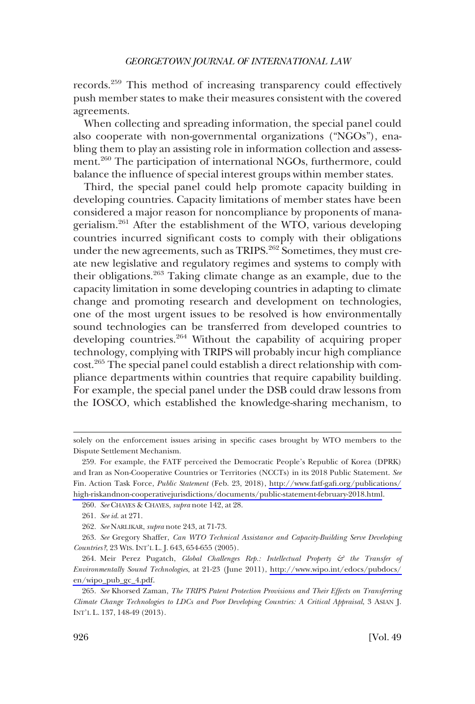records.<sup>259</sup> This method of increasing transparency could effectively push member states to make their measures consistent with the covered agreements.

When collecting and spreading information, the special panel could also cooperate with non-governmental organizations ("NGOs"), enabling them to play an assisting role in information collection and assessment.<sup>260</sup> The participation of international NGOs, furthermore, could balance the influence of special interest groups within member states.

Third, the special panel could help promote capacity building in developing countries. Capacity limitations of member states have been considered a major reason for noncompliance by proponents of managerialism.261 After the establishment of the WTO, various developing countries incurred significant costs to comply with their obligations under the new agreements, such as TRIPS.<sup>262</sup> Sometimes, they must create new legislative and regulatory regimes and systems to comply with their obligations.<sup>263</sup> Taking climate change as an example, due to the capacity limitation in some developing countries in adapting to climate change and promoting research and development on technologies, one of the most urgent issues to be resolved is how environmentally sound technologies can be transferred from developed countries to developing countries.<sup>264</sup> Without the capability of acquiring proper technology, complying with TRIPS will probably incur high compliance cost.265 The special panel could establish a direct relationship with compliance departments within countries that require capability building. For example, the special panel under the DSB could draw lessons from the IOSCO, which established the knowledge-sharing mechanism, to

solely on the enforcement issues arising in specific cases brought by WTO members to the Dispute Settlement Mechanism.

<sup>259.</sup> For example, the FATF perceived the Democratic People's Republic of Korea (DPRK) and Iran as Non-Cooperative Countries or Territories (NCCTs) in its 2018 Public Statement. *See*  Fin. Action Task Force, *Public Statement* (Feb. 23, 2018), [http://www.fatf-gafi.org/publications/](http://www.fatf-gafi.org/publications/high-riskandnon-cooperativejurisdictions/documents/public-statement-february-2018.html) [high-riskandnon-cooperativejurisdictions/documents/public-statement-february-2018.html](http://www.fatf-gafi.org/publications/high-riskandnon-cooperativejurisdictions/documents/public-statement-february-2018.html).

<sup>260.</sup> *See* CHAYES & CHAYES, *supra* note 142, at 28.

<sup>261.</sup> *See id*. at 271.

<sup>262.</sup> *See* NARLIKAR, *supra* note 243, at 71-73.

<sup>263.</sup> *See* Gregory Shaffer, *Can WTO Technical Assistance and Capacity-Building Serve Developing Countries?*, 23 WIS. INT'L L. J. 643, 654-655 (2005).

<sup>264.</sup> Meir Perez Pugatch, *Global Challenges Rep.: Intellectual Property & the Transfer of Environmentally Sound Technologies*, at 21-23 (June 2011), [http://www.wipo.int/edocs/pubdocs/](http://www.wipo.int/edocs/pubdocs/en/wipo_pub_gc_4.pdf) [en/wipo\\_pub\\_gc\\_4.pdf](http://www.wipo.int/edocs/pubdocs/en/wipo_pub_gc_4.pdf).

<sup>265.</sup> *See* Khorsed Zaman, *The TRIPS Patent Protection Provisions and Their Effects on Transferring Climate Change Technologies to LDCs and Poor Developing Countries: A Critical Appraisal*, 3 ASIAN J. INT'L L. 137, 148-49 (2013).